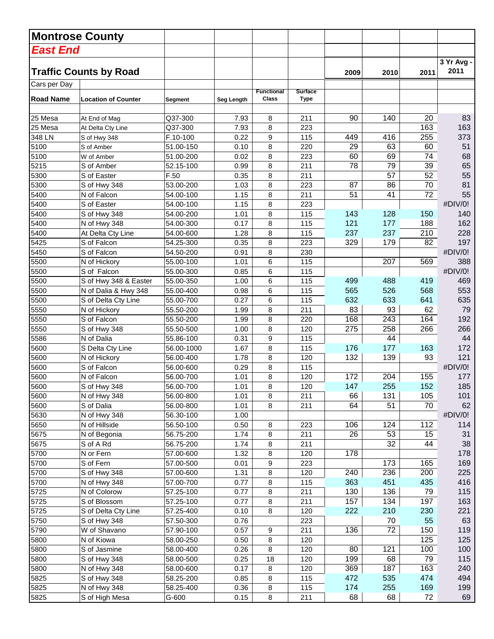|                                  | <b>Montrose County</b>        |            |            |                                   |                               |      |      |                 |                    |
|----------------------------------|-------------------------------|------------|------------|-----------------------------------|-------------------------------|------|------|-----------------|--------------------|
| East End                         |                               |            |            |                                   |                               |      |      |                 |                    |
|                                  | <b>Traffic Counts by Road</b> |            |            |                                   |                               | 2009 | 2010 | 2011            | 3 Yr Avg -<br>2011 |
| Cars per Day<br><b>Road Name</b> | <b>Location of Counter</b>    | Segment    | Seg Length | <b>Functional</b><br><b>Class</b> | <b>Surface</b><br><b>Type</b> |      |      |                 |                    |
|                                  |                               |            |            |                                   |                               |      |      |                 |                    |
| 25 Mesa                          | At End of Mag                 | Q37-300    | 7.93       | 8                                 | 211                           | 90   | 140  | 20              | 83                 |
| 25 Mesa                          | At Delta Cty Line             | Q37-300    | 7.93       | 8                                 | 223                           |      |      | 163             | 163                |
| 348 LN                           | S of Hwy 348                  | F.10-100   | 0.22       | 9                                 | 115                           | 449  | 416  | 255             | 373                |
| 5100                             | S of Amber                    | 51.00-150  | 0.10       | 8                                 | 220                           | 29   | 63   | 60              | 51                 |
| 5100                             | W of Amber                    | 51.00-200  | 0.02       | 8                                 | 223                           | 60   | 69   | 74              | 68                 |
| 5215                             | S of Amber                    | 52.15-100  | 0.99       | 8                                 | 211                           | 78   | 79   | 39              | 65                 |
| 5300                             | S of Easter                   | F.50       | 0.35       | 8                                 | 211                           |      | 57   | 52              | 55                 |
| 5300                             | S of Hwy 348                  | 53.00-200  | 1.03       | 8                                 | 223                           | 87   | 86   | 70              | 81                 |
| 5400                             | N of Falcon                   | 54.00-100  | 1.15       | 8                                 | 211                           | 51   | 41   | $\overline{72}$ | 55                 |
| 5400                             | S of Easter                   | 54.00-100  | 1.15       | 8                                 | 223                           |      |      |                 | #DIV/0!            |
| 5400                             | S of Hwy 348                  | 54.00-200  | 1.01       | 8                                 | 115                           | 143  | 128  | 150             | 140                |
| 5400                             | N of Hwy 348                  | 54.00-300  | 0.17       | 8                                 | 115                           | 121  | 177  | 188             | 162                |
| 5400                             | At Delta Cty Line             | 54.00-600  | 1.28       | 8                                 | 115                           | 237  | 237  | 210             | 228                |
| 5425                             | S of Falcon                   | 54.25-300  | 0.35       | 8                                 | 223                           | 329  | 179  | 82              | 197                |
| 5450                             | S of Falcon                   | 54.50-200  | 0.91       | 8                                 | 230                           |      |      |                 | #DIV/0!            |
| 5500                             | N of Hickory                  | 55.00-100  | 1.01       | 6                                 | 115                           |      | 207  | 569             | 388                |
| 5500                             | S of Falcon                   | 55.00-300  | 0.85       | 6                                 | 115                           |      |      |                 | #DIV/0!            |
| 5500                             | S of Hwy 348 & Easter         | 55.00-350  | 1.00       | 6                                 | 115                           | 499  | 488  | 419             | 469                |
| 5500                             | N of Dalia & Hwy 348          | 55.00-400  | 0.98       | 6                                 | 115                           | 565  | 526  | 568             | 553                |
| 5500                             | S of Delta Cty Line           | 55.00-700  | 0.27       | 6                                 | 115                           | 632  | 633  | 641             | 635                |
| 5550                             | N of Hickory                  | 55.50-200  | 1.99       | 8                                 | 211                           | 83   | 93   | 62              | 79                 |
| 5550                             | S of Falcon                   | 55.50-200  | 1.99       | 8                                 | 220                           | 168  | 243  | 164             | 192                |
| 5550                             | S of Hwy 348                  | 55.50-500  | 1.00       | 8                                 | 120                           | 275  | 258  | 266             | 266                |
| 5586                             | N of Dalia                    | 55.86-100  | 0.31       | 9                                 | 115                           |      | 44   |                 | 44                 |
| 5600                             | S Delta Cty Line              | 56.00-1000 | 1.67       | 8                                 | 115                           | 176  | 177  | 163             | 172                |
| 5600                             | N of Hickory                  | 56.00-400  | 1.78       | 8                                 | 120                           | 132  | 139  | 93              | 121                |
| 5600                             | S of Falcon                   | 56.00-600  | 0.29       | 8                                 | 115                           |      |      |                 | #DIV/0!            |
| 5600                             | N of Falcon                   | 56.00-700  | 1.01       | 8                                 | 120                           | 172  | 204  | 155             | 177                |
| 5600                             | S of Hwy 348                  | 56.00-700  | 1.01       | 8                                 | 120                           | 147  | 255  | 152             | 185                |
| 5600                             | N of Hwy 348                  | 56.00-800  | 1.01       | 8                                 | 211                           | 66   | 131  | 105             | 101                |
| 5600                             | S of Dalia                    | 56.00-800  | 1.01       | 8                                 | 211                           | 64   | 51   | 70              | 62                 |
| 5630                             | N of Hwy 348                  | 56.30-100  | 1.00       |                                   |                               |      |      |                 | #DIV/0!            |
| 5650                             | N of Hillside                 | 56.50-100  | 0.50       | 8                                 | 223                           | 106  | 124  | 112             | 114                |
| 5675                             | N of Begonia                  | 56.75-200  | 1.74       | 8                                 | 211                           | 26   | 53   | 15              | 31                 |
| 5675                             | S of A Rd                     | 56.75-200  | 1.74       | 8                                 | 211                           |      | 32   | 44              | 38                 |
| 5700                             | N or Fern                     | 57.00-600  | 1.32       | 8                                 | 120                           | 178  |      |                 | 178                |
| 5700                             | S of Fern                     | 57.00-500  | 0.01       | 9                                 | 223                           |      | 173  | 165             | 169                |
| 5700                             | S of Hwy 348                  | 57.00-600  | 1.31       | 8                                 | 120                           | 240  | 236  | 200             | 225                |
| 5700                             | N of Hwy 348                  | 57.00-700  | 0.77       | 8                                 | 115                           | 363  | 451  | 435             | 416                |
| 5725                             | N of Colorow                  | 57.25-100  | 0.77       | 8                                 | 211                           | 130  | 136  | 79              | 115                |
| 5725                             | S of Blossom                  | 57.25-100  | 0.77       | 8                                 | 211                           | 157  | 134  | 197             | 163                |
| 5725                             | S of Delta Cty Line           | 57.25-400  | 0.10       | 8                                 | 120                           | 222  | 210  | 230             | 221                |
| 5750                             | S of Hwy 348                  | 57.50-300  | 0.76       |                                   | 223                           |      | 70   | 55              | 63                 |
| 5790                             | W of Shavano                  | 57.90-100  | 0.57       | 9                                 | 211                           | 136  | 72   | 150             | 119                |
| 5800                             | N of Kiowa                    | 58.00-250  | 0.50       | 8                                 | 120                           |      |      | 125             | 125                |
| 5800                             | S of Jasmine                  | 58.00-400  | 0.26       | 8                                 | 120                           | 80   | 121  | 100             | 100                |
| 5800                             | S of Hwy 348                  | 58.00-500  | 0.25       | 18                                | 120                           | 199  | 68   | 79              | 115                |
| 5800                             | N of Hwy 348                  | 58.00-600  | 0.17       | 8                                 | 120                           | 369  | 187  | 163             | 240                |
| 5825                             | S of Hwy 348                  | 58.25-200  | 0.85       | 8                                 | 115                           | 472  | 535  | 474             | 494                |
| 5825                             | N of Hwy 348                  | 58.25-400  | 0.36       | 8                                 | 115                           | 174  | 255  | 169             | 199                |
| 5825                             | S of High Mesa                | G-600      | 0.15       | 8                                 | 211                           | 68   | 68   | 72              | 69                 |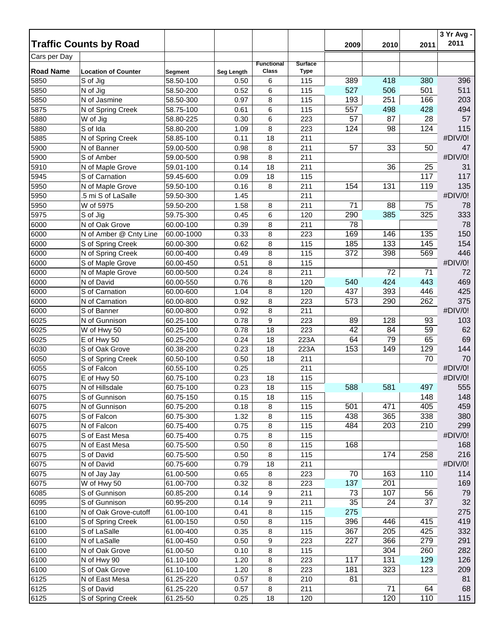|                  | <b>Traffic Counts by Road</b> |            |            |                   |                |      |      |      | $3 Yr Avg -$<br>2011 |
|------------------|-------------------------------|------------|------------|-------------------|----------------|------|------|------|----------------------|
|                  |                               |            |            |                   |                | 2009 | 2010 | 2011 |                      |
| Cars per Day     |                               |            |            | <b>Functional</b> | <b>Surface</b> |      |      |      |                      |
| <b>Road Name</b> | <b>Location of Counter</b>    | Segment    | Seg Length | <b>Class</b>      | <b>Type</b>    |      |      |      |                      |
| 5850             | S of Jig                      | 58.50-100  | 0.50       | 6                 | 115            | 389  | 418  | 380  | 396                  |
| 5850             | $\overline{N}$ of Jig         | 58.50-200  | 0.52       | 6                 | 115            | 527  | 506  | 501  | 511                  |
| 5850             | N of Jasmine                  | 58.50-300  | 0.97       | 8                 | 115            | 193  | 251  | 166  | 203                  |
| 5875             | N of Spring Creek             | 58.75-100  | 0.61       | 6                 | 115            | 557  | 498  | 428  | 494                  |
| 5880             | W of Jig                      | 58.80-225  | 0.30       | 6                 | 223            | 57   | 87   | 28   | 57                   |
| 5880             | S of Ida                      | 58.80-200  | 1.09       | 8                 | 223            | 124  | 98   | 124  | 115                  |
| 5885             | N of Spring Creek             | 58.85-100  | 0.11       | 18                | 211            |      |      |      | #DIV/0!              |
| 5900             | N of Banner                   | 59.00-500  | 0.98       | 8                 | 211            | 57   | 33   | 50   | 47                   |
| 5900             | S of Amber                    | 59.00-500  | 0.98       | 8                 | 211            |      |      |      | #DIV/0!              |
| 5910             | N of Maple Grove              | 59.01-100  | 0.14       | 18                | 211            |      | 36   | 25   | 31                   |
| 5945             | S of Carnation                | 59.45-600  | 0.09       | 18                | 115            |      |      | 117  | 117                  |
| 5950             | N of Maple Grove              | 59.50-100  | 0.16       | 8                 | 211            | 154  | 131  | 119  | 135                  |
| 5950             | .5 mi S of LaSalle            | 59.50-300  | 1.45       |                   | 211            |      |      |      | #DIV/0!              |
| 5950             | W of 5975                     | 59.50-200  | 1.58       | 8                 | 211            | 71   | 88   | 75   | 78                   |
| 5975             | S of Jig                      | 59.75-300  | 0.45       | 6                 | 120            | 290  | 385  | 325  | 333                  |
| 6000             | N of Oak Grove                | 60.00-100  | 0.39       | 8                 | 211            | 78   |      |      | 78                   |
| 6000             | N of Amber @ Cnty Line        | 60.00-1000 | 0.33       | 8                 | 223            | 169  | 146  | 135  | 150                  |
| 6000             | S of Spring Creek             | 60.00-300  | 0.62       | 8                 | 115            | 185  | 133  | 145  | 154                  |
| 6000             | N of Spring Creek             | 60.00-400  | 0.49       | 8                 | 115            | 372  | 398  | 569  | 446                  |
| 6000             | S of Maple Grove              | 60.00-450  | 0.51       | 8                 | 115            |      |      |      | #DIV/0!              |
| 6000             | N of Maple Grove              | 60.00-500  | 0.24       | 8                 | 211            |      | 72   | 71   | 72                   |
| 6000             | N of David                    | 60.00-550  | 0.76       | 8                 | 120            | 540  | 424  | 443  | 469                  |
| 6000             | S of Carnation                | 60.00-600  | 1.04       | 8                 | 120            | 437  | 393  | 446  | 425                  |
| 6000             | N of Carnation                | 60.00-800  | 0.92       | 8                 | 223            | 573  | 290  | 262  | 375                  |
| 6000             | S of Banner                   | 60.00-800  | 0.92       | 8                 | 211            |      |      |      | #DIV/0!              |
| 6025             | N of Gunnison                 | 60.25-100  | 0.78       | 9                 | 223            | 89   | 128  | 93   | 103                  |
| 6025             | W of Hwy 50                   | 60.25-100  | 0.78       | 18                | 223            | 42   | 84   | 59   | 62                   |
| 6025             | E of Hwy 50                   | 60.25-200  | 0.24       | 18                | 223A           | 64   | 79   | 65   | 69                   |
| 6030             | S of Oak Grove                | 60.38-200  | 0.23       | 18                | 223A           | 153  | 149  | 129  | 144                  |
| 6050             | S of Spring Creek             | 60.50-100  | 0.50       | 18                | 211            |      |      | 70   | 70                   |
| 6055             | S of Falcon                   | 60.55-100  | 0.25       |                   | 211            |      |      |      | #DIV/0!              |
| 6075             | E of Hwy 50                   | 60.75-100  | 0.23       | 18                | 115            |      |      |      | #DIV/0!              |
| 6075             | N of Hillsdale                | 60.75-100  | 0.23       | 18                | 115            | 588  | 581  | 497  | 555                  |
| 6075             | S of Gunnison                 | 60.75-150  | 0.15       | 18                | 115            |      |      | 148  | 148                  |
| 6075             | N of Gunnison                 | 60.75-200  | 0.18       | 8                 | 115            | 501  | 471  | 405  | 459                  |
| 6075             | S of Falcon                   | 60.75-300  | 1.32       | 8                 | 115            | 438  | 365  | 338  | 380                  |
| 6075             | N of Falcon                   | 60.75-400  | 0.75       | 8                 | 115            | 484  | 203  | 210  | 299                  |
| 6075             | S of East Mesa                | 60.75-400  | 0.75       | 8                 | 115            |      |      |      | #DIV/0!              |
| 6075             | N of East Mesa                | 60.75-500  | 0.50       | 8                 | 115            | 168  |      |      | 168                  |
| 6075             | S of David                    | 60.75-500  | 0.50       | 8                 | 115            |      | 174  | 258  | 216                  |
| 6075             | N of David                    | 60.75-600  | 0.79       | 18                | 211            |      |      |      | #DIV/0!              |
| 6075             | N of Jay Jay                  | 61.00-500  | 0.65       | 8                 | 223            | 70   | 163  | 110  | 114                  |
| 6075             | W of Hwy 50                   | 61.00-700  | 0.32       | 8                 | 223            | 137  | 201  |      | 169                  |
| 6085             | S of Gunnison                 | 60.85-200  | 0.14       | 9                 | 211            | 73   | 107  | 56   | 79                   |
| 6095             | S of Gunnison                 | 60.95-200  | 0.14       | 9                 | 211            | 35   | 24   | 37   | 32                   |
| 6100             | N of Oak Grove-cutoff         | 61.00-100  | 0.41       | 8                 | 115            | 275  |      |      | 275                  |
| 6100             | S of Spring Creek             | 61.00-150  | 0.50       | 8                 | 115            | 396  | 446  | 415  | 419                  |
| 6100             | S of LaSalle                  | 61.00-400  | 0.35       | 8                 | 115            | 367  | 205  | 425  | 332                  |
| 6100             | N of LaSalle                  | 61.00-450  | 0.50       | 9                 | 223            | 227  | 366  | 279  | 291                  |
| 6100             | N of Oak Grove                | 61.00-50   | 0.10       | 8                 | 115            |      | 304  | 260  | 282                  |
| 6100             | N of Hwy 90                   | 61.10-100  | 1.20       | 8                 | 223            | 117  | 131  | 129  | 126                  |
| 6100             | S of Oak Grove                | 61.10-100  | 1.20       | 8                 | 223            | 181  | 323  | 123  | 209                  |
| 6125             | N of East Mesa                | 61.25-220  | 0.57       | 8                 | 210            | 81   |      |      | 81                   |
| 6125             | S of David                    | 61.25-220  | 0.57       | 8                 | 211            |      | 71   | 64   | 68                   |
| 6125             | S of Spring Creek             | 61.25-50   | 0.25       | 18                | 120            |      | 120  | 110  | 115                  |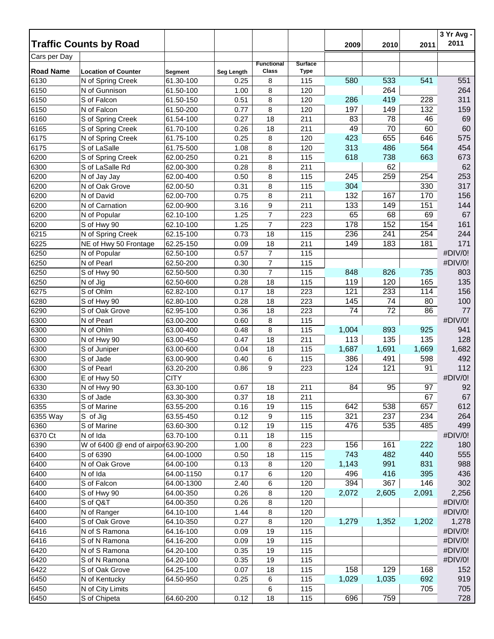|                  | <b>Traffic Counts by Road</b>       |                |            |                   |                | 2009  | 2010  | 2011  | 3 Yr Avg -<br>2011 |
|------------------|-------------------------------------|----------------|------------|-------------------|----------------|-------|-------|-------|--------------------|
| Cars per Day     |                                     |                |            |                   |                |       |       |       |                    |
|                  |                                     |                |            | <b>Functional</b> | <b>Surface</b> |       |       |       |                    |
| <b>Road Name</b> | <b>Location of Counter</b>          | <b>Segment</b> | Seg Length | Class             | <b>Type</b>    |       |       |       |                    |
| 6130             | N of Spring Creek                   | 61.30-100      | 0.25       | 8                 | 115            | 580   | 533   | 541   | 551                |
| 6150             | N of Gunnison                       | 61.50-100      | 1.00       | 8                 | 120            |       | 264   |       | 264                |
| 6150             | S of Falcon                         | 61.50-150      | 0.51       | 8                 | 120            | 286   | 419   | 228   | 311                |
| 6150             | N of Falcon                         | 61.50-200      | 0.77       | 8                 | 120            | 197   | 149   | 132   | 159                |
| 6160             | S of Spring Creek                   | 61.54-100      | 0.27       | 18                | 211            | 83    | 78    | 46    | 69                 |
| 6165             | S of Spring Creek                   | 61.70-100      | 0.26       | 18                | 211            | 49    | 70    | 60    | 60                 |
| 6175             | N of Spring Creek                   | 61.75-100      | 0.25       | 8                 | 120            | 423   | 655   | 646   | 575                |
| 6175             | S of LaSalle                        | 61.75-500      | 1.08       | 8                 | 120            | 313   | 486   | 564   | 454                |
| 6200             | S of Spring Creek                   | 62.00-250      | 0.21       | 8                 | 115            | 618   | 738   | 663   | 673                |
| 6300             | S of LaSalle Rd                     | 62.00-300      | 0.28       | 8                 | 211            |       | 62    |       | 62                 |
| 6200             | N of Jay Jay                        | 62.00-400      | 0.50       | 8                 | 115            | 245   | 259   | 254   | 253                |
| 6200             | N of Oak Grove                      | 62.00-50       | 0.31       | 8                 | 115            | 304   |       | 330   | 317                |
| 6200             | N of David                          | 62.00-700      | 0.75       | 8                 | 211            | 132   | 167   | 170   | 156                |
| 6200             | N of Carnation                      | 62.00-900      | 3.16       | 9                 | 211            | 133   | 149   | 151   | 144                |
| 6200             | N of Popular                        | 62.10-100      | 1.25       | $\overline{7}$    | 223            | 65    | 68    | 69    | 67                 |
| 6200             | S of Hwy 90                         | 62.10-100      | 1.25       | $\overline{7}$    | 223            | 178   | 152   | 154   | 161                |
| 6215             | N of Spring Creek                   | 62.15-100      | 0.73       | 18                | 115            | 236   | 241   | 254   | 244                |
| 6225             | NE of Hwy 50 Frontage               | 62.25-150      | 0.09       | 18                | 211            | 149   | 183   | 181   | 171                |
| 6250             | N of Popular                        | 62.50-100      | 0.57       | $\boldsymbol{7}$  | 115            |       |       |       | #DIV/0!            |
| 6250             | N of Pearl                          | 62.50-200      | 0.30       | $\boldsymbol{7}$  | 115            |       |       |       | #DIV/0!            |
| 6250             | S of Hwy 90                         | 62.50-500      | 0.30       | $\boldsymbol{7}$  | 115            | 848   | 826   | 735   | 803                |
| 6250             | N of Jig                            | 62.50-600      | 0.28       | 18                | 115            | 119   | 120   | 165   | 135                |
| 6275             | S of Ohlm                           | 62.82-100      | 0.17       | 18                | 223            | 121   | 233   | 114   | 156                |
| 6280             | S of Hwy 90                         | 62.80-100      | 0.28       | 18                | 223            | 145   | 74    | 80    | 100                |
| 6290             | S of Oak Grove                      | 62.95-100      | 0.36       | 18                | 223            | 74    | 72    | 86    | 77                 |
| 6300             | N of Pearl                          | 63.00-200      | 0.60       | 8                 | 115            |       |       |       | #DIV/0!            |
| 6300             | N of Ohlm                           | 63.00-400      | 0.48       | 8                 | 115            | 1,004 | 893   | 925   | 941                |
| 6300             | N of Hwy 90                         | 63.00-450      | 0.47       | 18                | 211            | 113   | 135   | 135   | 128                |
| 6300             | S of Juniper                        | 63.00-600      | 0.04       | 18                | 115            | 1,687 | 1,691 | 1,669 | 1,682              |
| 6300             | S of Jade                           | 63.00-900      | 0.40       | 6                 | 115            | 386   | 491   | 598   | 492                |
| 6300             | S of Pearl                          | 63.20-200      | 0.86       | 9                 | 223            | 124   | 121   | 91    | 112                |
| 6300             | E of Hwy 50                         | <b>CITY</b>    |            |                   |                |       |       |       | #DIV/0!            |
| 6330             | N of Hwy 90                         | 63.30-100      | 0.67       | 18                | 211            | 84    | 95    | 97    | 92                 |
| 6330             | S of Jade                           | 63.30-300      | 0.37       | 18                | 211            |       |       | 67    | 67                 |
| 6355             | S of Marine                         | 63.55-200      | 0.16       | 19                | 115            | 642   | 538   | 657   | 612                |
| 6355 Way         | S of Jig                            | 63.55-450      | 0.12       | 9                 | 115            | 321   | 237   | 234   | 264                |
| 6360             | S of Marine                         | 63.60-300      | 0.12       | 19                | 115            | 476   | 535   | 485   | 499                |
| 6370 Ct          | N of Ida                            | 63.70-100      | 0.11       | 18                | 115            |       |       |       | #DIV/0!            |
| 6390             | W of 6400 @ end of airpor 63.90-200 |                | 1.00       | 8                 | 223            | 156   | 161   | 222   | 180                |
| 6400             | S of 6390                           | 64.00-1000     | 0.50       | 18                | 115            | 743   | 482   | 440   | 555                |
| 6400             | N of Oak Grove                      | 64.00-100      | 0.13       | 8                 | 120            | 1,143 | 991   | 831   | 988                |
| 6400             | N of Ida                            | 64.00-1150     | 0.17       | 6                 | 120            | 496   | 416   | 395   | 436                |
| 6400             | S of Falcon                         | 64.00-1300     | 2.40       | 6                 | 120            | 394   | 367   | 146   | 302                |
| 6400             | S of Hwy 90                         | 64.00-350      | 0.26       | 8                 | 120            | 2,072 | 2,605 | 2,091 | 2,256              |
| 6400             | S of Q&T                            | 64.00-350      | 0.26       | 8                 | 120            |       |       |       | #DIV/0!            |
| 6400             | N of Ranger                         | 64.10-100      | 1.44       | 8                 | 120            |       |       |       | #DIV/0!            |
| 6400             | S of Oak Grove                      | 64.10-350      | 0.27       | 8                 | 120            | 1,279 | 1,352 | 1,202 | 1,278              |
| 6416             | N of S Ramona                       | 64.16-100      | 0.09       | 19                | 115            |       |       |       | #DIV/0!            |
| 6416             | S of N Ramona                       | 64.16-200      | 0.09       | 19                | 115            |       |       |       | #DIV/0!            |
| 6420             | N of S Ramona                       | 64.20-100      | 0.35       | 19                | 115            |       |       |       | #DIV/0!            |
| 6420             | S of N Ramona                       | 64.20-100      | 0.35       | 19                | 115            |       |       |       | #DIV/0!            |
| 6422             | S of Oak Grove                      | 64.25-100      | 0.07       | 18                | 115            | 158   | 129   | 168   | 152                |
| 6450             | N of Kentucky                       | 64.50-950      | 0.25       | 6                 | 115            | 1,029 | 1,035 | 692   | 919                |
| 6450             | N of City Limits                    |                |            | 6                 | 115            |       |       | 705   | 705                |
| 6450             | S of Chipeta                        | 64.60-200      | 0.12       | 18                | 115            | 696   | 759   |       | 728                |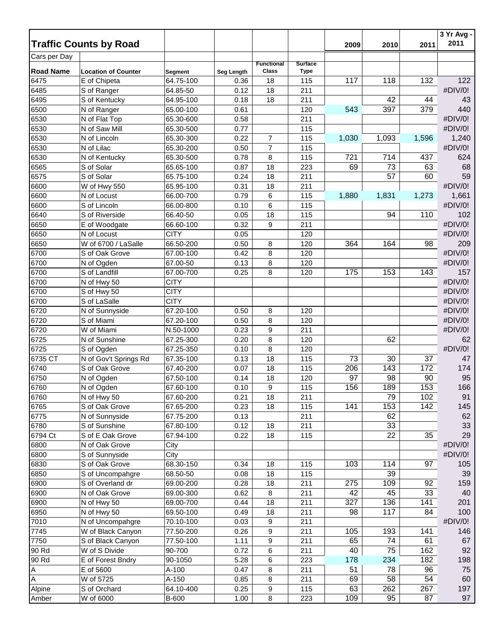|                  |                               |              |            |                            |                               |       |                 |       | 3 Yr Avg - |
|------------------|-------------------------------|--------------|------------|----------------------------|-------------------------------|-------|-----------------|-------|------------|
|                  | <b>Traffic Counts by Road</b> |              |            |                            |                               | 2009  | 2010            | 2011  | 2011       |
| Cars per Day     |                               |              |            |                            |                               |       |                 |       |            |
| <b>Road Name</b> | <b>Location of Counter</b>    | Segment      | Seg Length | <b>Functional</b><br>Class | <b>Surface</b><br><b>Type</b> |       |                 |       |            |
| 6475             | E of Chipeta                  | 64.75-100    | 0.36       | 18                         | 115                           | 117   | 118             | 132   | 122        |
| 6485             | S of Ranger                   | 64.85-50     | 0.12       | 18                         | 211                           |       |                 |       | #DIV/0!    |
| 6495             | S of Kentucky                 | 64.95-100    | 0.18       | 18                         | 211                           |       | 42              | 44    | 43         |
| 6500             | N of Ranger                   | 65.00-100    | 0.61       |                            | 120                           | 543   | 397             | 379   | 440        |
| 6530             | N of Flat Top                 | 65.30-600    | 0.58       |                            | 211                           |       |                 |       | #DIV/0!    |
| 6530             | N of Saw Mill                 | 65.30-500    | 0.77       |                            | 115                           |       |                 |       | #DIV/0!    |
| 6530             | N of Lincoln                  | 65.30-300    | 0.22       | $\overline{7}$             | 115                           | 1,030 | 1,093           | 1,596 | 1,240      |
| 6530             | N of Lilac                    | 65.30-200    | 0.50       | $\overline{7}$             | 115                           |       |                 |       | #DIV/0!    |
| 6530             | N of Kentucky                 | 65.30-500    | 0.78       | 8                          | 115                           | 721   | 714             | 437   | 624        |
| 6565             | S of Solar                    | 65.65-100    | 0.87       | 18                         | 223                           | 69    | 73              | 63    | 68         |
| 6575             | S of Solar                    | 65.75-100    | 0.24       | 18                         | 211                           |       | 57              | 60    | 59         |
| 6600             |                               | 65.95-100    | 0.31       | 18                         | 211                           |       |                 |       | #DIV/0!    |
| 6600             | W of Hwy 550                  | 66.00-700    | 0.79       |                            |                               |       | 1,831           |       | 1,661      |
| 6600             | N of Locust                   |              |            | 6                          | 115                           | 1,880 |                 | 1,273 | #DIV/0!    |
|                  | S of Lincoln                  | 66.00-800    | 0.10       | 6                          | 115                           |       |                 |       |            |
| 6640             | S of Riverside                | 66.40-50     | 0.05       | 18                         | 115                           |       | 94              | 110   | 102        |
| 6650             | E of Woodgate                 | 66.60-100    | 0.32       | 9                          | 211                           |       |                 |       | #DIV/0!    |
| 6650             | N of Locust                   | <b>CITY</b>  | 0.05       |                            | 120                           |       |                 |       | #DIV/0!    |
| 6650             | W of 6700 / LaSalle           | 66.50-200    | 0.50       | 8                          | 120                           | 364   | 164             | 98    | 209        |
| 6700             | S of Oak Grove                | 67.00-100    | 0.42       | 8                          | 120                           |       |                 |       | #DIV/0!    |
| 6700             | N of Ogden                    | 67.00-50     | 0.13       | 8                          | 120                           |       |                 |       | #DIV/0!    |
| 6700             | S of Landfill                 | 67.00-700    | 0.25       | 8                          | 120                           | 175   | 153             | 143   | 157        |
| 6700             | N of Hwy 50                   | <b>CITY</b>  |            |                            |                               |       |                 |       | #DIV/0!    |
| 6700             | S of Hwy 50                   | <b>CITY</b>  |            |                            |                               |       |                 |       | #DIV/0!    |
| 6700             | S of LaSalle                  | <b>CITY</b>  |            |                            |                               |       |                 |       | #DIV/0!    |
| 6720             | N of Sunnyside                | 67.20-100    | 0.50       | 8                          | 120                           |       |                 |       | #DIV/0!    |
| 6720             | S of Miami                    | 67.20-100    | 0.50       | 8                          | 120                           |       |                 |       | #DIV/0!    |
| 6720             | W of Miami                    | N.50-1000    | 0.23       | 9                          | 211                           |       |                 |       | #DIV/0!    |
| 6725             | N of Sunshine                 | 67.25-300    | 0.20       | 8                          | 120                           |       | 62              |       | 62         |
| 6725             | S of Ogden                    | 67.25-350    | 0.10       | 8                          | 120                           |       |                 |       | #DIV/0!    |
| 6735 CT          | N of Gov't Springs Rd         | 67.35-100    | 0.13       | 18                         | 115                           | 73    | 30              | 37    | 47         |
| 6740             | S of Oak Grove                | 67.40-200    | 0.07       | 18                         | 115                           | 206   | 143             | 172   | 174        |
| 6750             | N of Ogden                    | 67.50-100    | 0.14       | 18                         | 120                           | 97    | 98              | 90    | 95         |
| 6760             | N of Ogden                    | 67.60-100    | 0.10       | 9                          | 115                           | 156   | 189             | 153   | 166        |
| 6760             | N of Hwy 50                   | 67.60-200    | 0.21       | 18                         | 211                           |       | 79              | 102   | 91         |
| 6765             | S of Oak Grove                | 67.65-200    | 0.23       | 18                         | 115                           | 141   | 153             | 142   | 145        |
| 6775             | N of Sunnyside                | 67.75-200    | 0.13       |                            | 211                           |       | 62              |       | 62         |
| 6780             | S of Sunshine                 | 67.80-100    | 0.12       | 18                         | 211                           |       | $\overline{33}$ |       | 33         |
| 6794 Ct          | S of E Oak Grove              | 67.94-100    | 0.22       | 18                         | 115                           |       | 22              | 35    | 29         |
| 6800             | N of Oak Grove                | City         |            |                            |                               |       |                 |       | #DIV/0!    |
| 6800             | S of Sunnyside                | City         |            |                            |                               |       |                 |       | #DIV/0!    |
| 6830             | S of Oak Grove                | 68.30-150    | 0.34       | 18                         | 115                           | 103   | 114             | 97    | 105        |
| 6850             | S of Uncompahgre              | 68.50-50     | 0.08       | 18                         | 115                           |       | 39              |       | 39         |
| 6900             | S of Overland dr              | 69.00-200    | 0.28       | 18                         | 211                           | 275   | 109             | 92    | 159        |
| 6900             | N of Oak Grove                | 69.00-300    | 0.62       | 8                          | 211                           | 42    | 45              | 33    | 40         |
| 6900             | N of Hwy 50                   | 69.00-700    | 0.44       | 18                         | 211                           | 327   | 136             | 141   | 201        |
| 6950             | N of Hwy 50                   | 69.50-100    | 0.49       | 18                         | 211                           | 98    | 117             | 84    | 100        |
| 7010             | N of Uncompahgre              | 70.10-100    | 0.03       | 9                          | 211                           |       |                 |       | #DIV/0!    |
| 7745             | W of Black Canyon             | 77.50-200    | 0.26       | 9                          | 211                           | 105   | 193             | 141   | 146        |
| 7750             | S of Black Canyon             | 77.50-100    | 1.11       | 9                          | 211                           | 65    | 74              | 61    | 67         |
| 90 Rd            | W of S Divide                 | 90-700       | 0.72       | 6                          | 211                           | 40    | 75              | 162   | 92         |
| 90 Rd            | E of Forest Bndry             | 90-1050      | 5.28       | 6                          | 223                           | 178   | 234             | 182   | 198        |
| A                | E of 5600                     | A-100        | 0.47       | 8                          | 211                           | 51    | 78              | 96    | 75         |
| A                | W of 5725                     | A-150        | 0.85       | 8                          | 211                           | 69    | 58              | 54    | 60         |
| Alpine           | S of Orchard                  | 64.10-400    | 0.25       | 9                          | 115                           | 63    | 262             | 267   | 197        |
| Amber            | W of 6000                     | <b>B-600</b> | 1.00       | 8                          | 223                           | 109   | 95              | 87    | 97         |
|                  |                               |              |            |                            |                               |       |                 |       |            |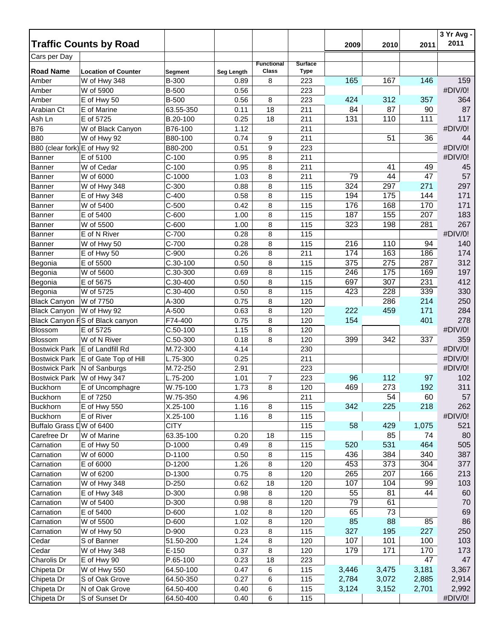|                              |                                 |             |            |                   |                |       |       |       | 3 Yr Avg -<br>2011 |
|------------------------------|---------------------------------|-------------|------------|-------------------|----------------|-------|-------|-------|--------------------|
|                              | <b>Traffic Counts by Road</b>   |             |            |                   |                | 2009  | 2010  | 2011  |                    |
| Cars per Day                 |                                 |             |            | <b>Functional</b> | <b>Surface</b> |       |       |       |                    |
| <b>Road Name</b>             | <b>Location of Counter</b>      | Segment     | Seg Length | Class             | <b>Type</b>    |       |       |       |                    |
| Amber                        | W of Hwy 348                    | B-300       | 0.89       | 8                 | 223            | 165   | 167   | 146   | 159                |
| Amber                        | W of 5900                       | B-500       | 0.56       |                   | 223            |       |       |       | #DIV/0!            |
| Amber                        | E of Hwy 50                     | B-500       | 0.56       | 8                 | 223            | 424   | 312   | 357   | 364                |
| Arabian Ct                   | E of Marine                     | 63.55-350   | 0.11       | 18                | 211            | 84    | 87    | 90    | 87                 |
| Ash Ln                       | E of 5725                       | B.20-100    | 0.25       | 18                | 211            | 131   | 110   | 111   | 117                |
| <b>B76</b>                   | W of Black Canyon               | B76-100     | 1.12       |                   | 211            |       |       |       | #DIV/0!            |
| <b>B80</b>                   | W of Hwy 92                     | B80-100     | 0.74       | 9                 | 211            |       | 51    | 36    | 44                 |
| B80 (clear fork) E of Hwy 92 |                                 | B80-200     | 0.51       | 9                 | 223            |       |       |       | #DIV/0!            |
| <b>Banner</b>                | E of 5100                       | $C-100$     | 0.95       | 8                 | 211            |       |       |       | #DIV/0!            |
| <b>Banner</b>                | W of Cedar                      | $C-100$     | 0.95       | 8                 | 211            |       | 41    | 49    | 45                 |
| <b>Banner</b>                | W of 6000                       | $C-1000$    | 1.03       | 8                 | 211            | 79    | 44    | 47    | 57                 |
| <b>Banner</b>                | W of Hwy 348                    | $C-300$     | 0.88       | 8                 | 115            | 324   | 297   | 271   | 297                |
| Banner                       | E of Hwy 348                    | $C-400$     | 0.58       | 8                 | 115            | 194   | 175   | 144   | 171                |
| <b>Banner</b>                | W of 5400                       | $C-500$     | 0.42       | 8                 | 115            | 176   | 168   | 170   | 171                |
| <b>Banner</b>                | E of 5400                       | $C-600$     | 1.00       | 8                 | 115            | 187   | 155   | 207   | 183                |
| <b>Banner</b>                | W of 5500                       | $C-600$     | 1.00       | 8                 | 115            | 323   | 198   | 281   | 267                |
| <b>Banner</b>                | E of N River                    | C-700       | 0.28       | 8                 | 115            |       |       |       | #DIV/0!            |
| Banner                       | W of Hwy 50                     | $C-700$     | 0.28       | 8                 | 115            | 216   | 110   | 94    | 140                |
| Banner                       | E of Hwy 50                     | $C-900$     | 0.26       | 8                 | 211            | 174   | 163   | 186   | 174                |
| Begonia                      | E of 5500                       | $C.30-100$  | 0.50       | 8                 | 115            | 375   | 275   | 287   | 312                |
| Begonia                      | W of 5600                       | C.30-300    | 0.69       | 8                 | 115            | 246   | 175   | 169   | 197                |
| Begonia                      | E of 5675                       | C.30-400    | 0.50       | 8                 | 115            | 697   | 307   | 231   | 412                |
| Begonia                      | W of 5725                       | C.30-400    | 0.50       | 8                 | 115            | 423   | 228   | 339   | 330                |
| <b>Black Canyon</b>          | W of 7750                       | A-300       | 0.75       | 8                 | 120            |       | 286   | 214   | 250                |
| <b>Black Canyon</b>          | W of Hwy 92                     | A-500       | 0.63       | 8                 | 120            | 222   | 459   | 171   | 284                |
|                              | Black Canyon FS of Black canyon | F74-400     | 0.75       | 8                 | 120            | 154   |       | 401   | 278                |
| Blossom                      | E of 5725                       | $C.50-100$  | 1.15       | 8                 | 120            |       |       |       | #DIV/0!            |
| Blossom                      | W of N River                    | C.50-300    | 0.18       | 8                 | 120            | 399   | 342   | 337   | 359                |
| <b>Bostwick Park</b>         | E of Landfill Rd                | M.72-300    | 4.14       |                   | 230            |       |       |       | #DIV/0!            |
| <b>Bostwick Park</b>         | E of Gate Top of Hill           | L.75-300    | 0.25       |                   | 211            |       |       |       | #DIV/0!            |
| <b>Bostwick Park</b>         | N of Sanburgs                   | M.72-250    | 2.91       |                   | 223            |       |       |       | #DIV/0!            |
| <b>Bostwick Park</b>         | W of Hwy 347                    | L.75-200    | 1.01       | 7                 | 223            | 96    | 112   | 97    | 102                |
| <b>Buckhorn</b>              | E of Uncomphagre                | W.75-100    | 1.73       | 8                 | 120            | 469   | 273   | 192   | 311                |
| <b>Buckhorn</b>              | E of 7250                       | W.75-350    | 4.96       |                   | 211            |       | 54    | 60    | 57                 |
| <b>Buckhorn</b>              | E of Hwy 550                    | X.25-100    | 1.16       | 8                 | 115            | 342   | 225   | 218   | 262                |
| <b>Buckhorn</b>              | E of River                      | X.25-100    | 1.16       | 8                 | 115            |       |       |       | #DIV/0!            |
| Buffalo Grass LW of 6400     |                                 | <b>CITY</b> |            |                   | 115            | 58    | 429   | 1,075 | 521                |
| Carefree Dr                  | W of Marine                     | 63.35-100   | 0.20       | 18                | 115            |       | 85    | 74    | 80                 |
| Carnation                    | E of Hwy 50                     | D-1000      | 0.49       | 8                 | 115            | 520   | 531   | 464   | 505                |
| Carnation                    | W of 6000                       | D-1100      | 0.50       | 8                 | 115            | 436   | 384   | 340   | 387                |
| Carnation                    | E of 6000                       | D-1200      | 1.26       | 8                 | 120            | 453   | 373   | 304   | 377                |
| Carnation                    | W of 6200                       | D-1300      | 0.75       | 8                 | 120            | 265   | 207   | 166   | 213                |
| Carnation                    | W of Hwy 348                    | D-250       | 0.62       | 18                | 120            | 107   | 104   | 99    | 103                |
| Carnation                    | E of Hwy 348                    | D-300       | 0.98       | 8                 | 120            | 55    | 81    | 44    | 60                 |
| Carnation                    | W of 5400                       | D-300       | 0.98       | 8                 | 120            | 79    | 61    |       | 70                 |
| Carnation                    | E of 5400                       | D-600       | 1.02       | 8                 | 120            | 65    | 73    |       | 69                 |
| Carnation                    | W of 5500                       | D-600       | 1.02       | 8                 | 120            | 85    | 88    | 85    | 86                 |
| Carnation                    | W of Hwy 50                     | D-900       | 0.23       | 8                 | 115            | 327   | 195   | 227   | 250                |
| Cedar                        | S of Banner                     | 51.50-200   | 1.24       | 8                 | 120            | 107   | 101   | 100   | 103                |
| Cedar                        | W of Hwy 348                    | $E-150$     | 0.37       | 8                 | 120            | 179   | 171   | 170   | 173                |
| Charolis Dr                  | E of Hwy 90                     | P.65-100    | 0.23       | 18                | 223            |       |       | 47    | 47                 |
| Chipeta Dr                   | W of Hwy 550                    | 64.50-100   | 0.47       | 6                 | 115            | 3,446 | 3,475 | 3,181 | 3,367              |
| Chipeta Dr                   | S of Oak Grove                  | 64.50-350   | 0.27       | 6                 | 115            | 2,784 | 3,072 | 2,885 | 2,914              |
| Chipeta Dr                   | N of Oak Grove                  | 64.50-400   | 0.40       | 6                 | 115            | 3,124 | 3,152 | 2,701 | 2,992              |
| Chipeta Dr                   | S of Sunset Dr                  | 64.50-400   | 0.40       | 6                 | 115            |       |       |       | #DIV/0!            |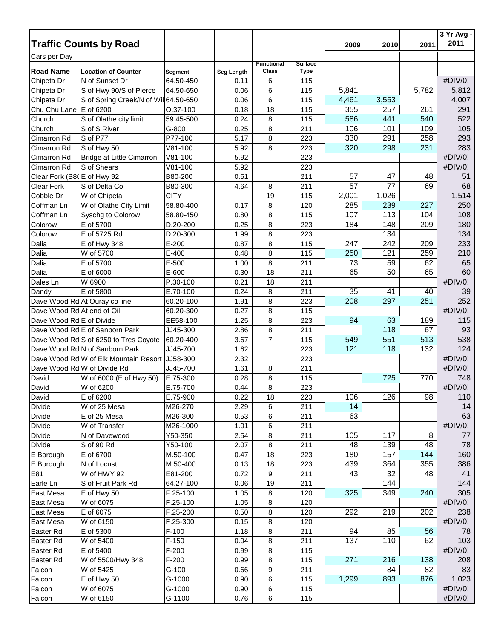|                            |                                       |                |            |                   |                |       |       |       | 3 Yr Avg -<br>2011 |
|----------------------------|---------------------------------------|----------------|------------|-------------------|----------------|-------|-------|-------|--------------------|
|                            | <b>Traffic Counts by Road</b>         |                |            |                   |                | 2009  | 2010  | 2011  |                    |
| Cars per Day               |                                       |                |            | <b>Functional</b> | <b>Surface</b> |       |       |       |                    |
| <b>Road Name</b>           | <b>Location of Counter</b>            | <b>Segment</b> | Seg Length | Class             | <b>Type</b>    |       |       |       |                    |
| Chipeta Dr                 | N of Sunset Dr                        | 64.50-450      | 0.11       | 6                 | 115            |       |       |       | #DIV/0!            |
| Chipeta Dr                 | S of Hwy 90/S of Pierce               | 64.50-650      | 0.06       | 6                 | 115            | 5,841 |       | 5,782 | 5,812              |
| Chipeta Dr                 | S of Spring Creek/N of Wil 64.50-650  |                | 0.06       | 6                 | 115            | 4,461 | 3,553 |       | 4,007              |
| Chu Chu Lane               | E of 6200                             | O.37-100       | 0.18       | 18                | 115            | 355   | 257   | 261   | 291                |
| Church                     | S of Olathe city limit                | 59.45-500      | 0.24       | 8                 | 115            | 586   | 441   | 540   | 522                |
| Church                     | S of S River                          | G-800          | 0.25       | 8                 | 211            | 106   | 101   | 109   | 105                |
| Cimarron Rd                | S of P77                              | P77-100        | 5.17       | 8                 | 223            | 330   | 291   | 258   | 293                |
| Cimarron Rd                | S of Hwy 50                           | $V81-100$      | 5.92       | 8                 | 223            | 320   | 298   | 231   | 283                |
| Cimarron Rd                | <b>Bridge at Little Cimarron</b>      | $V81-100$      | 5.92       |                   | 223            |       |       |       | #DIV/0!            |
| Cimarron Rd                | S of Shears                           | $V81-100$      | 5.92       |                   | 223            |       |       |       | #DIV/0!            |
| Clear Fork (B80E of Hwy 92 |                                       | B80-200        | 0.51       |                   | 211            | 57    | 47    | 48    | 51                 |
| <b>Clear Fork</b>          | S of Delta Co                         | B80-300        | 4.64       | 8                 | 211            | 57    | 77    | 69    | 68                 |
| Cobble Dr                  | W of Chipeta                          | <b>CITY</b>    |            | 19                | 115            | 2,001 | 1,026 |       | 1,514              |
| Coffman Ln                 | W of Olathe City Limit                | 58.80-400      | 0.17       | 8                 | 120            | 285   | 239   | 227   | 250                |
| Coffman Ln                 | Syschg to Colorow                     | 58.80-450      | 0.80       | 8                 | 115            | 107   | 113   | 104   | 108                |
| Colorow                    | E of 5700                             | D.20-200       | 0.25       | 8                 | 223            | 184   | 148   | 209   | 180                |
| Colorow                    | E of 5725 Rd                          | D.20-300       | 1.99       | 8                 | 223            |       | 134   |       | 134                |
| Dalia                      | E of Hwy 348                          | $E-200$        | 0.87       | 8                 | 115            | 247   | 242   | 209   | 233                |
| Dalia                      | W of 5700                             | E-400          | 0.48       | 8                 | 115            | 250   | 121   | 259   | 210                |
| Dalia                      | E of 5700                             | E-500          | 1.00       | 8                 | 211            | 73    | 59    | 62    | 65                 |
| Dalia                      | E of 6000                             | E-600          | 0.30       | 18                | 211            | 65    | 50    | 65    | 60                 |
| Dales Ln                   | W 6900                                | P.30-100       | 0.21       | 18                | 211            |       |       |       | #DIV/0!            |
| Dandy                      | E of 5800                             | E.70-100       | 0.24       | 8                 | 211            | 35    | 41    | 40    | 39                 |
|                            | Dave Wood Rd At Ouray co line         | 60.20-100      | 1.91       | 8                 | 223            | 208   | 297   | 251   | 252                |
| Dave Wood Rd At end of Oil |                                       | 60.20-300      | 0.27       | 8                 | 115            |       |       |       | #DIV/0!            |
| Dave Wood Rd E of Divide   |                                       | EE58-100       | 1.25       | 8                 | 223            | 94    | 63    | 189   | 115                |
|                            | Dave Wood Rd E of Sanborn Park        | JJ45-300       | 2.86       | 8                 | 211            |       | 118   | 67    | 93                 |
|                            | Dave Wood Rd S of 6250 to Tres Coyote | 60.20-400      | 3.67       | $\overline{7}$    | 115            | 549   | 551   | 513   | 538                |
|                            | Dave Wood Rd N of Sanborn Park        | JJ45-700       | 1.62       |                   | 223            | 121   | 118   | 132   | 124                |
|                            | Dave Wood Rd W of Elk Mountain Resort | JJ58-300       | 2.32       |                   | 223            |       |       |       | #DIV/0!            |
|                            | Dave Wood Rd W of Divide Rd           | JJ45-700       | 1.61       | 8                 | 211            |       |       |       | #DIV/0!            |
| David                      | W of 6000 (E of Hwy 50)               | E.75-300       | 0.28       | 8                 | 115            |       | 725   | 770   | 748                |
| David                      | W of 6200                             | E.75-700       | 0.44       | 8                 | 223            |       |       |       | #DIV/0!            |
| David                      | E of 6200                             | E.75-900       | 0.22       | 18                | 223            | 106   | 126   | 98    | 110                |
| <b>Divide</b>              | W of 25 Mesa                          | M26-270        | 2.29       | 6                 | 211            | 14    |       |       | 14                 |
| Divide                     | E of 25 Mesa                          | M26-300        | 0.53       | 6                 | 211            | 63    |       |       | 63                 |
| <b>Divide</b>              | W of Transfer                         | M26-1000       | 1.01       | 6                 | 211            |       |       |       | #DIV/0!            |
| <b>Divide</b>              | N of Davewood                         | Y50-350        | 2.54       | 8                 | 211            | 105   | 117   | 8     | 77                 |
| <b>Divide</b>              | S of 90 Rd                            | Y50-100        | 2.07       | 8                 | 211            | 48    | 139   | 48    | 78                 |
| E Borough                  | E of 6700                             | M.50-100       | 0.47       | 18                | 223            | 180   | 157   | 144   | 160                |
| E Borough                  | N of Locust                           | M.50-400       | 0.13       | 18                | 223            | 439   | 364   | 355   | 386                |
| E81                        | W of HWY 92                           | E81-200        | 0.72       | 9                 | 211            | 43    | 32    | 48    | 41                 |
| Earle Ln                   | S of Fruit Park Rd                    | 64.27-100      | 0.06       | 19                | 211            |       | 144   |       | 144                |
| East Mesa                  | E of Hwy 50                           | F.25-100       | 1.05       | 8                 | 120            | 325   | 349   | 240   | 305                |
| East Mesa                  | W of 6075                             | F.25-100       | 1.05       | 8                 | 120            |       |       |       | #DIV/0!            |
| East Mesa                  | E of 6075                             | F.25-200       | 0.50       | 8                 | 120            | 292   | 219   | 202   | 238                |
| East Mesa                  | W of 6150                             | F.25-300       | 0.15       | 8                 | 120            |       |       |       | #DIV/0!            |
| Easter Rd                  | E of 5300                             | $F-100$        | 1.18       | 8                 | 211            | 94    | 85    | 56    | 78                 |
| Easter Rd                  | W of 5400                             | $F-150$        | 0.04       | 8                 | 211            | 137   | 110   | 62    | 103                |
| Easter Rd                  | E of 5400                             | $F-200$        | 0.99       | 8                 | 115            |       |       |       | #DIV/0!            |
| Easter Rd                  | W of 5500/Hwy 348                     | $F-200$        | 0.99       | 8                 | 115            | 271   | 216   | 138   | 208                |
| Falcon                     | W of 5425                             | $G-100$        | 0.66       | 9                 | 211            |       | 84    | 82    | 83                 |
| Falcon                     | E of Hwy 50                           | G-1000         | 0.90       | 6                 | 115            | 1,299 | 893   | 876   | 1,023              |
| Falcon                     | W of 6075                             | G-1000         | 0.90       | 6                 | 115            |       |       |       | #DIV/0!            |
| Falcon                     | W of 6150                             | G-1100         | 0.76       | 6                 | 115            |       |       |       | #DIV/0!            |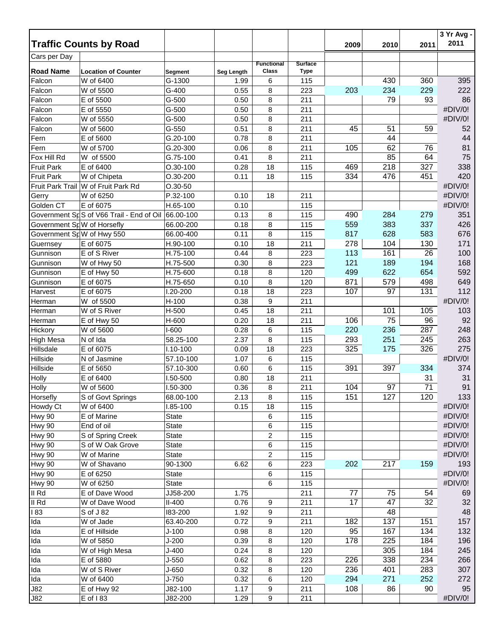|                                         | <b>Traffic Counts by Road</b>            |                |            |                   |                |      |      |                 | 3 Yr Avg -<br>2011 |
|-----------------------------------------|------------------------------------------|----------------|------------|-------------------|----------------|------|------|-----------------|--------------------|
|                                         |                                          |                |            |                   |                | 2009 | 2010 | 2011            |                    |
| Cars per Day                            |                                          |                |            | <b>Functional</b> | <b>Surface</b> |      |      |                 |                    |
| <b>Road Name</b>                        | <b>Location of Counter</b>               | <b>Segment</b> | Seg Length | <b>Class</b>      | <b>Type</b>    |      |      |                 |                    |
| Falcon                                  | W of 6400                                | G-1300         | 1.99       | 6                 | 115            |      | 430  | 360             | 395                |
| Falcon                                  | W of 5500                                | G-400          | 0.55       | 8                 | 223            | 203  | 234  | 229             | 222                |
| Falcon                                  | E of 5500                                | G-500          | 0.50       | 8                 | 211            |      | 79   | 93              | 86                 |
| Falcon                                  | E of 5550                                | $G-500$        | 0.50       | 8                 | 211            |      |      |                 | #DIV/0!            |
| Falcon                                  | W of 5550                                | $G-500$        | 0.50       | 8                 | 211            |      |      |                 | #DIV/0!            |
| Falcon                                  | W of 5600                                | $G-550$        | 0.51       | 8                 | 211            | 45   | 51   | 59              | 52                 |
| Fern                                    | E of 5600                                | G.20-100       | 0.78       | 8                 | 211            |      | 44   |                 | 44                 |
| Fern                                    | W of 5700                                | G.20-300       | 0.06       | 8                 | 211            | 105  | 62   | 76              | 81                 |
| Fox Hill Rd                             | W of 5500                                | G.75-100       | 0.41       | 8                 | 211            |      | 85   | 64              | 75                 |
| <b>Fruit Park</b>                       | E of 6400                                | $O.30 - 100$   | 0.28       | 18                | 115            | 469  | 218  | 327             | 338                |
| <b>Fruit Park</b>                       | W of Chipeta                             | $O.30 - 200$   | 0.11       | 18                | 115            | 334  | 476  | 451             | 420                |
|                                         | Fruit Park Trail W of Fruit Park Rd      | $O.30 - 50$    |            |                   |                |      |      |                 | #DIV/0!            |
| Gerry                                   | W of 6250                                | P.32-100       | 0.10       | 18                | 211            |      |      |                 | #DIV/0!            |
| Golden CT                               | E of 6075                                | H.65-100       | 0.10       |                   | 115            |      |      |                 | #DIV/0!            |
|                                         | Government SpS of V66 Trail - End of Oil | 66.00-100      | 0.13       | 8                 | 115            | 490  | 284  | 279             | 351                |
| Government S <sub>F</sub> W of Horsefly |                                          | 66.00-200      | 0.18       | 8                 | 115            | 559  | 383  | 337             | 426                |
| Government SpW of Hwy 550               |                                          | 66.00-400      | 0.11       | 8                 | 115            | 817  | 628  | 583             | 676                |
| Guernsey                                | E of 6075                                | H.90-100       | 0.10       | 18                | 211            | 278  | 104  | 130             | 171                |
| Gunnison                                | E of S River                             | H.75-100       | 0.44       | 8                 | 223            | 113  | 161  | 26              | 100                |
| Gunnison                                | W of Hwy 50                              | H.75-500       | 0.30       | 8                 | 223            | 121  | 189  | 194             | 168                |
| Gunnison                                | E of Hwy 50                              | H.75-600       | 0.18       | 8                 | 120            | 499  | 622  | 654             | 592                |
| Gunnison                                | E of 6075                                | H.75-650       | 0.10       | 8                 | 120            | 871  | 579  | 498             | 649                |
| Harvest                                 | E of 6075                                | 1.20-200       | 0.18       | 18                | 223            | 107  | 97   | 131             | 112                |
| Herman                                  | W of 5500                                | H-100          | 0.38       | 9                 | 211            |      |      |                 | #DIV/0!            |
| Herman                                  | W of S River                             | H-500          | 0.45       | 18                | 211            |      | 101  | 105             | 103                |
| Herman                                  | E of Hwy 50                              | H-600          | 0.20       | 18                | 211            | 106  | 75   | 96              | 92                 |
| Hickory                                 | W of 5600                                | I-600          | 0.28       | 6                 | 115            | 220  | 236  | 287             | 248                |
| <b>High Mesa</b>                        | N of Ida                                 | 58.25-100      | 2.37       | 8                 | 115            | 293  | 251  | 245             | 263                |
| Hillsdale                               | E of 6075                                | $1.10 - 100$   | 0.09       | 18                | 223            | 325  | 175  | 326             | 275                |
| Hillside                                | N of Jasmine                             | 57.10-100      | 1.07       | 6                 | 115            |      |      |                 | #DIV/0!            |
| Hillside                                | E of 5650                                | 57.10-300      | 0.60       | 6                 | 115            | 391  | 397  | 334             | 374                |
| Holly                                   | E of 6400                                | I.50-500       | 0.80       | 18                | 211            |      |      | 31              | 31                 |
| Holly                                   | W of 5600                                | 1.50-300       | 0.36       | 8                 | 211            | 104  | 97   | $\overline{71}$ | 91                 |
| Horsefly                                | S of Govt Springs                        | 68.00-100      | 2.13       | 8                 | 115            | 151  | 127  | 120             | 133                |
| Howdy Ct                                | W of 6400                                | I.85-100       | 0.15       | 18                | 115            |      |      |                 | #DIV/0!            |
| <b>Hwy 90</b>                           | E of Marine                              | <b>State</b>   |            | 6                 | 115            |      |      |                 | #DIV/0!            |
| Hwy 90                                  | End of oil                               | <b>State</b>   |            | 6                 | 115            |      |      |                 | #DIV/0!            |
| <b>Hwy 90</b>                           | S of Spring Creek                        | <b>State</b>   |            | $\overline{c}$    | 115            |      |      |                 | #DIV/0!            |
| <b>Hwy 90</b>                           | S of W Oak Grove                         | <b>State</b>   |            | 6                 | 115            |      |      |                 | #DIV/0!            |
| Hwy 90                                  | W of Marine                              | <b>State</b>   |            | $\overline{c}$    | 115            |      |      |                 | #DIV/0!            |
| <b>Hwy 90</b>                           | W of Shavano                             | 90-1300        | 6.62       | 6                 | 223            | 202  | 217  | 159             | 193                |
| <b>Hwy 90</b>                           | E of 6250                                | <b>State</b>   |            | 6                 | 115            |      |      |                 | #DIV/0!            |
| Hwy 90                                  | W of 6250                                | <b>State</b>   |            | 6                 | 115            |      |      |                 | #DIV/0!            |
| II Rd                                   | E of Dave Wood                           | JJ58-200       | 1.75       |                   | 211            | 77   | 75   | 54              | 69                 |
| II Rd                                   | W of Dave Wood                           | $II-400$       | 0.76       | 9                 | 211            | 17   | 47   | 32              | 32                 |
| 183                                     | S of J 82                                | 183-200        | 1.92       | 9                 | 211            |      | 48   |                 | 48                 |
| Ida                                     | W of Jade                                | 63.40-200      | 0.72       | 9                 | 211            | 182  | 137  | 151             | 157                |
| Ida                                     | E of Hillside                            | $J-100$        | 0.98       | 8                 | 120            | 95   | 167  | 134             | 132                |
| Ida                                     | W of 5850                                | $J-200$        | 0.39       | 8                 | 120            | 178  | 225  | 184             | 196                |
| Ida                                     | W of High Mesa                           | $J-400$        | 0.24       | 8                 | 120            |      | 305  | 184             | 245                |
| Ida                                     | E of 5880                                | $J-550$        | 0.62       | 8                 | 223            | 226  | 338  | 234             | 266                |
| Ida                                     | W of S River                             | $J-650$        | 0.32       | 8                 | 120            | 236  | 401  | 283             | 307                |
| Ida                                     | W of 6400                                | $J-750$        | 0.32       | 6                 | 120            | 294  | 271  | 252             | 272                |
| <b>J82</b>                              | E of Hwy 92                              | J82-100        | 1.17       | 9                 | 211            | 108  | 86   | 90              | 95                 |
| <b>J82</b>                              | E of 183                                 | J82-200        | 1.29       | 9                 | 211            |      |      |                 | #DIV/0!            |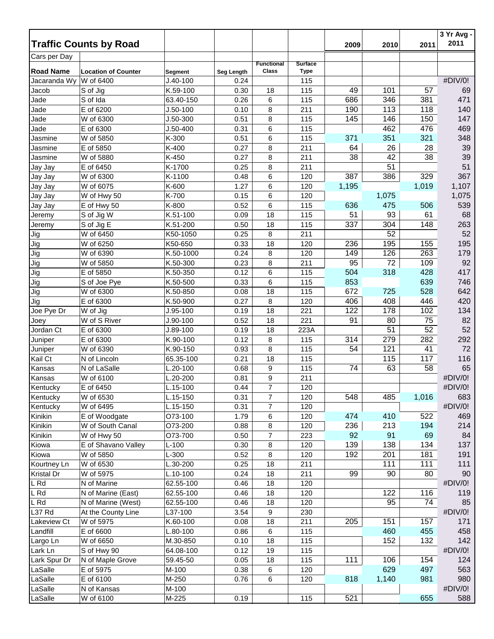|                   | <b>Traffic Counts by Road</b> |              |            |                   |                |       |       |                 | 3 Yr Avg -<br>2011 |
|-------------------|-------------------------------|--------------|------------|-------------------|----------------|-------|-------|-----------------|--------------------|
| Cars per Day      |                               |              |            |                   |                | 2009  | 2010  | 2011            |                    |
|                   |                               |              |            | <b>Functional</b> | <b>Surface</b> |       |       |                 |                    |
| <b>Road Name</b>  | <b>Location of Counter</b>    | Segment      | Seg Length | <b>Class</b>      | Type           |       |       |                 |                    |
| Jacaranda Wy      | W of 6400                     | $J.40-100$   | 0.24       |                   | 115            |       |       |                 | #DIV/0!            |
| Jacob             | S of Jig                      | K.59-100     | 0.30       | 18                | 115            | 49    | 101   | 57              | 69                 |
| Jade              | S of Ida                      | 63.40-150    | 0.26       | 6                 | 115            | 686   | 346   | 381             | 471                |
| Jade              | E of 6200                     | $J.50-100$   | 0.10       | 8                 | 211            | 190   | 113   | 118             | 140                |
| Jade              | W of 6300                     | J.50-300     | 0.51       | 8                 | 115            | 145   | 146   | 150             | 147                |
| Jade              | E of 6300                     | $J.50 - 400$ | 0.31       | 6                 | 115            |       | 462   | 476             | 469                |
| Jasmine           | W of 5850                     | K-300        | 0.51       | 6                 | 115            | 371   | 351   | 321             | 348                |
| Jasmine           | E of 5850                     | K-400        | 0.27       | 8                 | 211            | 64    | 26    | 28              | 39                 |
| Jasmine           | W of 5880                     | K-450        | 0.27       | 8                 | 211            | 38    | 42    | 38              | 39                 |
| Jay Jay           | E of 6450                     | K-1700       | 0.25       | 8                 | 211            |       | 51    |                 | 51                 |
| Jay Jay           | W of 6300                     | K-1100       | 0.48       | 6                 | 120            | 387   | 386   | 329             | 367                |
| Jay Jay           | W of 6075                     | K-600        | 1.27       | 6                 | 120            | 1,195 |       | 1,019           | 1,107              |
| Jay Jay           | W of Hwy 50                   | K-700        | 0.15       | 6                 | 120            |       | 1,075 |                 | 1,075              |
| Jay Jay           | E of Hwy 50                   | K-800        | 0.52       | 6                 | 115            | 636   | 475   | 506             | 539                |
| Jeremy            | S of Jig W                    | K.51-100     | 0.09       | 18                | 115            | 51    | 93    | 61              | 68                 |
| Jeremy            | S of Jig E                    | K.51-200     | 0.50       | 18                | 115            | 337   | 304   | 148             | 263                |
| Jig               | W of 6450                     | K50-1050     | 0.25       | 8                 | 211            |       | 52    |                 | 52                 |
| Jig               | W of 6250                     | K50-650      | 0.33       | 18                | 120            | 236   | 195   | 155             | 195                |
| Jig               | W of 6390                     | K.50-1000    | 0.24       | 8                 | 120            | 149   | 126   | 263             | 179                |
| Jig               | W of 5850                     | K.50-300     | 0.23       | 8                 | 211            | 95    | 72    | 109             | 92                 |
| Jig               | E of 5850                     | K.50-350     | 0.12       | 6                 | 115            | 504   | 318   | 428             | 417                |
| Jig               | S of Joe Pye                  | K.50-500     | 0.33       | 6                 | 115            | 853   |       | 639             | 746                |
| Jig               | W of 6300                     | K.50-850     | 0.08       | 18                | 115            | 672   | 725   | 528             | 642                |
| Jig               | E of 6300                     | K.50-900     | 0.27       | 8                 | 120            | 406   | 408   | 446             | 420                |
| Joe Pye Dr        | W of Jig                      | $J.95-100$   | 0.19       | 18                | 221            | 122   | 178   | 102             | 134                |
| Joey              | W of S River                  | $J.90-100$   | 0.52       | 18                | 221            | 91    | 80    | 75              | 82                 |
| Jordan Ct         | E of 6300                     | J.89-100     | 0.19       | 18                | 223A           |       | 51    | $\overline{52}$ | 52                 |
| Juniper           | E of 6300                     | K.90-100     | 0.12       | 8                 | 115            | 314   | 279   | 282             | 292                |
| Juniper           | W of 6390                     | K.90-150     | 0.93       | 8                 | 115            | 54    | 121   | 41              | 72                 |
| Kail Ct           | N of Lincoln                  | 65.35-100    | 0.21       | 18                | 115            |       | 115   | 117             | 116                |
| Kansas            | N of LaSalle                  | L.20-100     | 0.68       | 9                 | 115            | 74    | 63    | 58              | 65                 |
| Kansas            | W of 6100                     | L.20-200     | 0.81       | 9                 | 211            |       |       |                 | #DIV/0!            |
| Kentucky          | E of 6450                     | L.15-100     | 0.44       | $\overline{7}$    | 120            |       |       |                 | #DIV/0!            |
| Kentucky          | W of 6530                     | L.15-150     | 0.31       | $\overline{7}$    | 120            | 548   | 485   | 1,016           | 683                |
| Kentucky          | W of 6495                     | L.15-150     | 0.31       | $\overline{7}$    | 120            |       |       |                 | #DIV/0!            |
| Kinikin           | E of Woodgate                 | O73-100      | 1.79       | 6                 | 120            | 474   | 410   | 522             | 469                |
| Kinikin           | W of South Canal              | O73-200      | 0.88       | 8                 | 120            | 236   | 213   | 194             | 214                |
| Kinikin           | W of Hwy 50                   | O73-700      | 0.50       | $\overline{7}$    | 223            | 92    | 91    | 69              | 84                 |
| Kiowa             | E of Shavano Valley           | $L-100$      | 0.30       | 8                 | 120            | 139   | 138   | 134             | 137                |
| Kiowa             | W of 5850                     | $L-300$      | 0.52       | 8                 | 120            | 192   | 201   | 181             | 191                |
| Kourtney Ln       | W of 6530                     | L.30-200     | 0.25       | 18                | 211            |       | 111   | 111             | 111                |
| <b>Kristal Dr</b> | W of 5975                     | L.10-100     | 0.24       | 18                | 211            | 99    | 90    | 80              | 90                 |
| L Rd              | N of Marine                   | 62.55-100    | 0.46       | 18                | 120            |       |       |                 | #DIV/0!            |
| L Rd              | N of Marine (East)            | 62.55-100    | 0.46       | 18                | 120            |       | 122   | 116             | 119                |
| L Rd              | N of Marine (West)            | 62.55-100    | 0.46       | 18                | 120            |       | 95    | 74              | 85                 |
| L37 Rd            | At the County Line            | L37-100      | 3.54       | 9                 | 230            |       |       |                 | #DIV/0!            |
| Lakeview Ct       | W of 5975                     | K.60-100     | 0.08       | 18                | 211            | 205   | 151   | 157             | 171                |
| Landfill          | E of 6600                     | L.80-100     | 0.86       | 6                 | 115            |       | 460   | 455             | 458                |
| Largo Ln          | W of 6650                     | M.30-850     | 0.10       | 18                | 115            |       | 152   | 132             | 142                |
| Lark Ln           | S of Hwy 90                   | 64.08-100    | 0.12       | 19                | 115            |       |       |                 | #DIV/0!            |
| Lark Spur Dr      | N of Maple Grove              | 59.45-50     | 0.05       | 18                | 115            | 111   | 106   | 154             | 124                |
| LaSalle           | E of 5975                     | M-100        | 0.38       | 6                 | 120            |       | 629   | 497             | 563                |
| LaSalle           | E of 6100                     | M-250        | 0.76       | 6                 | 120            | 818   | 1,140 | 981             | 980                |
| LaSalle           | N of Kansas                   | M-100        |            |                   |                |       |       |                 | #DIV/0!            |
| LaSalle           | W of 6100                     | M-225        | 0.19       |                   | 115            | 521   |       | 655             | 588                |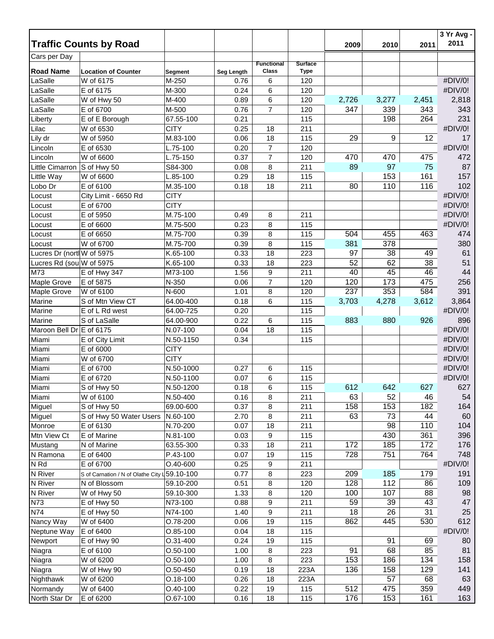|                            |                                               |                |                   |                   |                |       |       |       | 3 Yr Avg -<br>2011 |
|----------------------------|-----------------------------------------------|----------------|-------------------|-------------------|----------------|-------|-------|-------|--------------------|
|                            | <b>Traffic Counts by Road</b>                 |                |                   |                   |                | 2009  | 2010  | 2011  |                    |
| Cars per Day               |                                               |                |                   | <b>Functional</b> | <b>Surface</b> |       |       |       |                    |
| <b>Road Name</b>           | <b>Location of Counter</b>                    | <b>Segment</b> | <b>Seg Length</b> | Class             | <b>Type</b>    |       |       |       |                    |
| LaSalle                    | W of 6175                                     | M-250          | 0.76              | 6                 | 120            |       |       |       | #DIV/0!            |
| LaSalle                    | E of 6175                                     | M-300          | 0.24              | 6                 | 120            |       |       |       | #DIV/0!            |
| LaSalle                    | W of Hwy 50                                   | M-400          | 0.89              | 6                 | 120            | 2,726 | 3,277 | 2,451 | 2,818              |
| LaSalle                    | E of 6700                                     | M-500          | 0.76              | $\overline{7}$    | 120            | 347   | 339   | 343   | 343                |
| Liberty                    | E of E Borough                                | 67.55-100      | 0.21              |                   | 115            |       | 198   | 264   | 231                |
| Lilac                      | W of 6530                                     | <b>CITY</b>    | 0.25              | 18                | 211            |       |       |       | #DIV/0!            |
| Lily dr                    | W of 5950                                     | M.83-100       | 0.06              | 18                | 115            | 29    | 9     | 12    | 17                 |
| Lincoln                    | E of 6530                                     | $L.75-100$     | 0.20              | $\overline{7}$    | 120            |       |       |       | #DIV/0!            |
| Lincoln                    | W of 6600                                     | $L.75-150$     | 0.37              | $\overline{7}$    | 120            | 470   | 470   | 475   | 472                |
| Little Cimarron            | S of Hwy 50                                   | S84-300        | 0.08              | 8                 | 211            | 89    | 97    | 75    | 87                 |
| Little Way                 | W of 6600                                     | L.85-100       | 0.29              | 18                | 115            |       | 153   | 161   | 157                |
| Lobo Dr                    | E of 6100                                     | M.35-100       | 0.18              | 18                | 211            | 80    | 110   | 116   | 102                |
| Locust                     | City Limit - 6650 Rd                          | <b>CITY</b>    |                   |                   |                |       |       |       | #DIV/0!            |
| Locust                     | E of 6700                                     | <b>CITY</b>    |                   |                   |                |       |       |       | #DIV/0!            |
| Locust                     | E of 5950                                     | M.75-100       | 0.49              | 8                 | 211            |       |       |       | #DIV/0!            |
| Locust                     | E of 6600                                     | M.75-500       | 0.23              | 8                 | 115            |       |       |       | #DIV/0!            |
| Locust                     | E of 6650                                     | M.75-700       | 0.39              | 8                 | 115            | 504   | 455   | 463   | 474                |
| Locust                     | W of 6700                                     | M.75-700       | 0.39              | 8                 | 115            | 381   | 378   |       | 380                |
| Lucres Dr (nortl W of 5975 |                                               | K.65-100       | 0.33              | 18                | 223            | 97    | 38    | 49    | 61                 |
| Lucres Rd (sou W of 5975   |                                               | K.65-100       | 0.33              | 18                | 223            | 52    | 62    | 38    | 51                 |
| M73                        | E of Hwy 347                                  | M73-100        | 1.56              | 9                 | 211            | 40    | 45    | 46    | 44                 |
| Maple Grove                | E of 5875                                     | N-350          | 0.06              | $\boldsymbol{7}$  | 120            | 120   | 173   | 475   | 256                |
| Maple Grove                | W of 6100                                     | N-600          | 1.01              | 8                 | 120            | 237   | 353   | 584   | 391                |
| Marine                     | S of Mtn View CT                              | 64.00-400      | 0.18              | 6                 | 115            | 3,703 | 4,278 | 3,612 | 3,864              |
| Marine                     | E of L Rd west                                | 64.00-725      | 0.20              |                   | 115            |       |       |       | #DIV/0!            |
| Marine                     | S of LaSalle                                  | 64.00-900      | 0.22              | 6                 | 115            | 883   | 880   | 926   | 896                |
| Maroon Bell Dr E of 6175   |                                               | N.07-100       | 0.04              | 18                | 115            |       |       |       | #DIV/0!            |
| Miami                      | E of City Limit                               | N.50-1150      | 0.34              |                   | 115            |       |       |       | #DIV/0!            |
| Miami                      | E of 6000                                     | <b>CITY</b>    |                   |                   |                |       |       |       | #DIV/0!            |
| Miami                      | W of 6700                                     | <b>CITY</b>    |                   |                   |                |       |       |       | #DIV/0!            |
| Miami                      | E of 6700                                     | N.50-1000      | 0.27              | 6                 | 115            |       |       |       | #DIV/0!            |
| Miami                      | E of 6720                                     | N.50-1100      | 0.07              | 6                 | 115            |       |       |       | #DIV/0!            |
| Miami                      | S of Hwy 50                                   | N.50-1200      | 0.18              | $6\phantom{1}6$   | 115            | 612   | 642   | 627   | 627                |
| Miami                      | W of 6100                                     | N.50-400       | 0.16              | 8                 | 211            | 63    | 52    | 46    | 54                 |
| Miguel                     | S of Hwy 50                                   | 69.00-600      | 0.37              | 8                 | 211            | 158   | 153   | 182   | 164                |
| Miguel                     | S of Hwy 50 Water Users                       | N.60-100       | 2.70              | 8                 | 211            | 63    | 73    | 44    | 60                 |
| Monroe                     | E of 6130                                     | N.70-200       | 0.07              | 18                | 211            |       | 98    | 110   | 104                |
| Mtn View Ct                | E of Marine                                   | N.81-100       | 0.03              | 9                 | 115            |       | 430   | 361   | 396                |
| Mustang                    | N of Marine                                   | 63.55-300      | 0.33              | 18                | 211            | 172   | 185   | 172   | 176                |
| N Ramona                   | E of 6400                                     | P.43-100       | 0.07              | 19                | 115            | 728   | 751   | 764   | 748                |
| N Rd                       | E of 6700                                     | $O.40 - 600$   | 0.25              | 9                 | 211            |       |       |       | #DIV/0!            |
| N River                    | S of Carnation / N of Olathe City L 59.10-100 |                | 0.77              | 8                 | 223            | 209   | 185   | 179   | 191                |
| N River                    | N of Blossom                                  | 59.10-200      | 0.51              | 8                 | 120            | 128   | 112   | 86    | 109                |
| N River                    | W of Hwy 50                                   | 59.10-300      | 1.33              | 8                 | 120            | 100   | 107   | 88    | 98                 |
| N73                        | E of Hwy 50                                   | N73-100        | 0.88              | 9                 | 211            | 59    | 39    | 43    | 47                 |
| N74                        | E of Hwy 50                                   | N74-100        | 1.40              | 9                 | 211            | 18    | 26    | 31    | 25                 |
| Nancy Way                  | W of 6400                                     | O.78-200       | 0.06              | 19                | 115            | 862   | 445   | 530   | 612                |
| Neptune Way                | E of 6400                                     | $O.85-100$     | 0.04              | 18                | 115            |       |       |       | #DIV/0!            |
| Newport                    | E of Hwy 90                                   | O.31-400       | 0.24              | 19                | 115            |       | 91    | 69    | 80                 |
| Niagra                     | E of 6100                                     | $O.50 - 100$   | 1.00              | 8                 | 223            | 91    | 68    | 85    | 81                 |
| Niagra                     | W of 6200                                     | $O.50 - 100$   | 1.00              | 8                 | 223            | 153   | 186   | 134   | 158                |
| Niagra                     | W of Hwy 90                                   | $O.50 - 450$   | 0.19              | 18                | 223A           | 136   | 158   | 129   | 141                |
| Nighthawk                  | W of 6200                                     | $0.18 - 100$   | 0.26              | 18                | 223A           |       | 57    | 68    | 63                 |
| Normandy                   | W of 6400                                     | $O.40 - 100$   | 0.22              | 19                | 115            | 512   | 475   | 359   | 449                |
| North Star Dr              | E of 6200                                     | O.67-100       | 0.16              | 18                | 115            | 176   | 153   | 161   | 163                |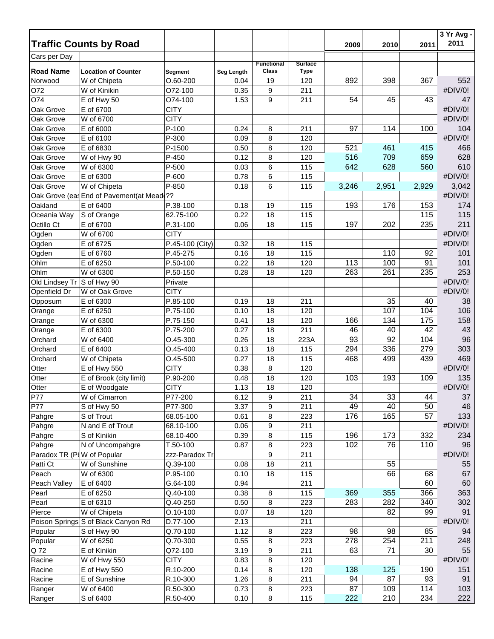|                            |                                           |                 |                   |                   |                |       |       |       | 3 Yr Avg -<br>2011 |
|----------------------------|-------------------------------------------|-----------------|-------------------|-------------------|----------------|-------|-------|-------|--------------------|
|                            | <b>Traffic Counts by Road</b>             |                 |                   |                   |                | 2009  | 2010  | 2011  |                    |
| Cars per Day               |                                           |                 |                   | <b>Functional</b> | <b>Surface</b> |       |       |       |                    |
| <b>Road Name</b>           | <b>Location of Counter</b>                | <b>Segment</b>  | <b>Seg Length</b> | <b>Class</b>      | <b>Type</b>    |       |       |       |                    |
| Norwood                    | W of Chipeta                              | $O.60 - 200$    | 0.04              | 19                | 120            | 892   | 398   | 367   | 552                |
| 072                        | W of Kinikin                              | O72-100         | 0.35              | 9                 | 211            |       |       |       | #DIV/0!            |
| O74                        | E of Hwy 50                               | O74-100         | 1.53              | 9                 | 211            | 54    | 45    | 43    | 47                 |
| Oak Grove                  | E of 6700                                 | <b>CITY</b>     |                   |                   |                |       |       |       | #DIV/0!            |
| Oak Grove                  | W of 6700                                 | <b>CITY</b>     |                   |                   |                |       |       |       | #DIV/0!            |
| Oak Grove                  | E of 6000                                 | $P-100$         | 0.24              | 8                 | 211            | 97    | 114   | 100   | 104                |
| Oak Grove                  | E of 6100                                 | P-300           | 0.09              | 8                 | 120            |       |       |       | #DIV/0!            |
| Oak Grove                  | E of 6830                                 | P-1500          | 0.50              | 8                 | 120            | 521   | 461   | 415   | 466                |
| Oak Grove                  | W of Hwy 90                               | P-450           | 0.12              | 8                 | 120            | 516   | 709   | 659   | 628                |
| Oak Grove                  | W of 6300                                 | P-500           | 0.03              | 6                 | 115            | 642   | 628   | 560   | 610                |
| Oak Grove                  | E of 6300                                 | P-600           | 0.78              | 6                 | 115            |       |       |       | #DIV/0!            |
| Oak Grove                  | W of Chipeta                              | P-850           | 0.18              | 6                 | 115            | 3,246 | 2,951 | 2,929 | 3,042              |
|                            | Oak Grove (eas End of Pavement(at Mead ?? |                 |                   |                   |                |       |       |       | #DIV/0!            |
| Oakland                    | E of 6400                                 | P.38-100        | 0.18              | 19                | 115            | 193   | 176   | 153   | 174                |
| Oceania Way                | S of Orange                               | 62.75-100       | 0.22              | 18                | 115            |       |       | 115   | 115                |
| Octillo Ct                 | E of 6700                                 | P.31-100        | 0.06              | 18                | 115            | 197   | 202   | 235   | 211                |
| Ogden                      | W of 6700                                 | <b>CITY</b>     |                   |                   |                |       |       |       | #DIV/0!            |
| Ogden                      | E of 6725                                 | P.45-100 (City) | 0.32              | 18                | 115            |       |       |       | #DIV/0!            |
| Ogden                      | E of 6760                                 | P.45-275        | 0.16              | 18                | 115            |       | 110   | 92    | 101                |
| Ohlm                       | E of 6250                                 | P.50-100        | 0.22              | 18                | 120            | 113   | 100   | 91    | 101                |
| Ohlm                       | W of 6300                                 | P.50-150        | 0.28              | 18                | 120            | 263   | 261   | 235   | 253                |
| Old Lindsey Tr S of Hwy 90 |                                           | Private         |                   |                   |                |       |       |       | #DIV/0!            |
| Openfield Dr               | W of Oak Grove                            | <b>CITY</b>     |                   |                   |                |       |       |       | #DIV/0!            |
| Opposum                    | E of 6300                                 | P.85-100        | 0.19              | 18                | 211            |       | 35    | 40    | 38                 |
| Orange                     | E of 6250                                 | P.75-100        | 0.10              | 18                | 120            |       | 107   | 104   | 106                |
| Orange                     | W of 6300                                 | P.75-150        | 0.41              | 18                | 120            | 166   | 134   | 175   | 158                |
| Orange                     | E of 6300                                 | P.75-200        | 0.27              | 18                | 211            | 46    | 40    | 42    | 43                 |
| Orchard                    | W of 6400                                 | O.45-300        | 0.26              | 18                | 223A           | 93    | 92    | 104   | 96                 |
| Orchard                    | E of 6400                                 | $O.45 - 400$    | 0.13              | 18                | 115            | 294   | 336   | 279   | 303                |
| Orchard                    | W of Chipeta                              | $O.45 - 500$    | 0.27              | 18                | 115            | 468   | 499   | 439   | 469                |
| Otter                      | E of Hwy 550                              | <b>CITY</b>     | 0.38              | 8                 | 120            |       |       |       | #DIV/0!            |
| Otter                      | E of Brook (city limit)                   | P.90-200        | 0.48              | 18                | 120            | 103   | 193   | 109   | 135                |
| Otter                      | E of Woodgate                             | <b>CITY</b>     | 1.13              | 18                | 120            |       |       |       | #DIV/0!            |
| P77                        | W of Cimarron                             | P77-200         | 6.12              | 9                 | 211            | 34    | 33    | 44    | 37                 |
| P77                        | S of Hwy 50                               | P77-300         | 3.37              | 9                 | 211            | 49    | 40    | 50    | 46                 |
| Pahgre                     | S of Trout                                | 68.05-100       | 0.61              | 8                 | 223            | 176   | 165   | 57    | 133                |
| Pahgre                     | N and E of Trout                          | 68.10-100       | 0.06              | 9                 | 211            |       |       |       | #DIV/0!            |
| Pahgre                     | S of Kinikin                              | 68.10-400       | 0.39              | 8                 | 115            | 196   | 173   | 332   | 234                |
| Pahgre                     | N of Uncompahgre                          | T.50-100        | 0.87              | 8                 | 223            | 102   | 76    | 110   | 96                 |
| Paradox TR (P(W of Popular |                                           | zzz-Paradox Tr  |                   | 9                 | 211            |       |       |       | #DIV/0!            |
| Patti Ct                   | W of Sunshine                             | Q.39-100        | 0.08              | 18                | 211            |       | 55    |       | 55                 |
| Peach                      | W of 6300                                 | P.95-100        | 0.10              | 18                | 115            |       | 66    | 68    | 67                 |
| Peach Valley               | E of 6400                                 | G.64-100        | 0.94              |                   | 211            |       |       | 60    | 60                 |
| Pearl                      | E of 6250                                 | Q.40-100        | 0.38              | 8                 | 115            | 369   | 355   | 366   | 363                |
| Pearl                      | E of 6310                                 | Q.40-250        | 0.50              | 8                 | 223            | 283   | 282   | 340   | 302                |
| Pierce                     | W of Chipeta                              | $O.10 - 100$    | 0.07              | 18                | 120            |       | 82    | 99    | 91                 |
|                            | Poison Springs S of Black Canyon Rd       | D.77-100        | 2.13              |                   | 211            |       |       |       | #DIV/0!            |
| Popular                    | S of Hwy 90                               | Q.70-100        | 1.12              | 8                 | 223            | 98    | 98    | 85    | 94                 |
| Popular                    | W of 6250                                 | Q.70-300        | 0.55              | 8                 | 223            | 278   | 254   | 211   | 248                |
| Q 72                       | E of Kinikin                              | Q72-100         | 3.19              | 9                 | 211            | 63    | 71    | 30    | 55                 |
| Racine                     | W of Hwy 550                              | <b>CITY</b>     | 0.83              | 8                 | 120            |       |       |       | #DIV/0!            |
| Racine                     | E of Hwy 550                              | R.10-200        | 0.14              | 8                 | 120            | 138   | 125   | 190   | 151                |
| Racine                     | E of Sunshine                             | R.10-300        | 1.26              | 8                 | 211            | 94    | 87    | 93    | 91                 |
| Ranger                     | W of 6400                                 | R.50-300        | 0.73              | 8                 | 223            | 87    | 109   | 114   | 103                |
| Ranger                     | S of 6400                                 | R.50-400        | 0.10              | 8                 | 115            | 222   | 210   | 234   | 222                |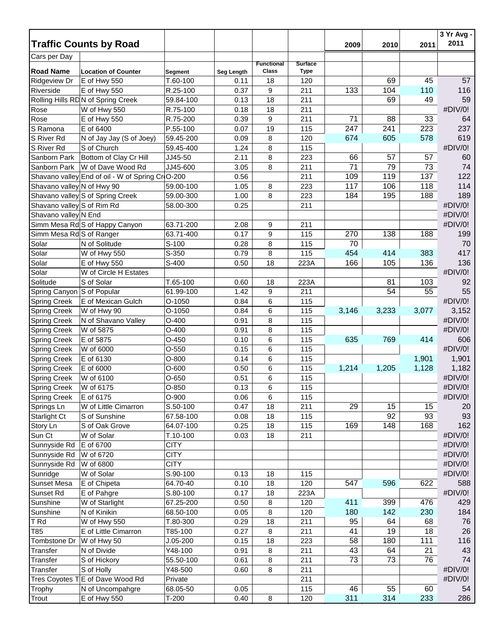|                            |                                                  |              |            |                   |                |       |       |       | 3 Yr Avg -<br>2011 |
|----------------------------|--------------------------------------------------|--------------|------------|-------------------|----------------|-------|-------|-------|--------------------|
|                            | <b>Traffic Counts by Road</b>                    |              |            |                   |                | 2009  | 2010  | 2011  |                    |
| Cars per Day               |                                                  |              |            | <b>Functional</b> | <b>Surface</b> |       |       |       |                    |
| <b>Road Name</b>           | <b>Location of Counter</b>                       | Segment      | Seg Length | Class             | <b>Type</b>    |       |       |       |                    |
| <b>Ridgeview Dr</b>        | E of Hwy 550                                     | T.60-100     | 0.11       | 18                | 120            |       | 69    | 45    | 57                 |
| Riverside                  | E of Hwy 550                                     | R.25-100     | 0.37       | 9                 | 211            | 133   | 104   | 110   | 116                |
|                            | Rolling Hills RD N of Spring Creek               | 59.84-100    | 0.13       | 18                | 211            |       | 69    | 49    | 59                 |
| Rose                       | W of Hwy 550                                     | R.75-100     | 0.18       | 18                | 211            |       |       |       | #DIV/0!            |
| Rose                       | E of Hwy 550                                     | R.75-200     | 0.39       | 9                 | 211            | 71    | 88    | 33    | 64                 |
| S Ramona                   | E of 6400                                        | P.55-100     | 0.07       | 19                | 115            | 247   | 241   | 223   | 237                |
| S River Rd                 | N of Jay Jay (S of Joey)                         | 59.45-200    | 0.09       | 8                 | 120            | 674   | 605   | 578   | 619                |
| S River Rd                 | S of Church                                      | 59.45-400    | 1.24       | 8                 | 115            |       |       |       | #DIV/0!            |
| Sanborn Park               | Bottom of Clay Cr Hill                           | JJ45-50      | 2.11       | 8                 | 223            | 66    | 57    | 57    | 60                 |
| Sanborn Park               | W of Dave Wood Rd                                | JJ45-600     | 3.05       | 8                 | 211            | 71    | 79    | 73    | 74                 |
|                            | Shavano valley End of oil - W of Spring Cr O-200 |              | 0.56       |                   | 211            | 109   | 119   | 137   | 122                |
| Shavano valley N of Hwy 90 |                                                  | 59.00-100    | 1.05       | 8                 | 223            | 117   | 106   | 118   | 114                |
|                            | Shavano valley S of Spring Creek                 | 59.00-300    | 1.00       | 8                 | 223            | 184   | 195   | 188   | 189                |
| Shavano valley S of Rim Rd |                                                  | 58.00-300    | 0.25       |                   | 211            |       |       |       | #DIV/0!            |
| Shavano valley N End       |                                                  |              |            |                   |                |       |       |       | #DIV/0!            |
|                            | Simm Mesa Rd S of Happy Canyon                   | 63.71-200    | 2.08       | 9                 | 211            |       |       |       | #DIV/0!            |
| Simm Mesa Rd S of Ranger   |                                                  | 63.71-400    | 0.17       | 9                 | 115            | 270   | 138   | 188   | 199                |
| Solar                      | N of Solitude                                    | S-100        | 0.28       | 8                 | 115            | 70    |       |       | 70                 |
| Solar                      | W of Hwy 550                                     | S-350        | 0.79       | 8                 | 115            | 454   | 414   | 383   | 417                |
| Solar                      | E of Hwy 550                                     | S-400        | 0.50       | 18                | 223A           | 166   | 105   | 136   | 136                |
| Solar                      | W of Circle H Estates                            |              |            |                   |                |       |       |       | #DIV/0!            |
| Solitude                   | S of Solar                                       | T.65-100     | 0.60       | 18                | 223A           |       | 81    | 103   | 92                 |
| Spring Canyon S of Popular |                                                  | 61.99-100    | 1.42       | 9                 | 211            |       | 54    | 55    | 55                 |
| <b>Spring Creek</b>        | E of Mexican Gulch                               | O-1050       | 0.84       | 6                 | 115            |       |       |       | #DIV/0!            |
| <b>Spring Creek</b>        | W of Hwy 90                                      | O-1050       | 0.84       | 6                 | 115            | 3,146 | 3,233 | 3,077 | 3,152              |
| <b>Spring Creek</b>        | N of Shavano Valley                              | $O-400$      | 0.91       | 8                 | 115            |       |       |       | #DIV/0!            |
| <b>Spring Creek</b>        | W of 5875                                        | $O-400$      | 0.91       | 8                 | 115            |       |       |       | #DIV/0!            |
| <b>Spring Creek</b>        | E of 5875                                        | $O-450$      | 0.10       | 6                 | 115            | 635   | 769   | 414   | 606                |
| <b>Spring Creek</b>        | W of 6000                                        | $O-550$      | 0.15       | 6                 | 115            |       |       |       | #DIV/0!            |
| <b>Spring Creek</b>        | E of 6130                                        | $O-800$      | 0.14       | 6                 | 115            |       |       | 1,901 | 1,901              |
| <b>Spring Creek</b>        | E of 6000                                        | $O-600$      | 0.50       | 6                 | 115            | 1,214 | 1,205 | 1,128 | 1,182              |
| <b>Spring Creek</b>        | W of 6100                                        | O-650        | 0.51       | 6                 | 115            |       |       |       | #DIV/0!            |
| Spring Creek               | W of 6175                                        | $O-850$      | 0.13       | 6                 | 115            |       |       |       | #DIV/0!            |
| <b>Spring Creek</b>        | E of 6175                                        | $O-900$      | 0.06       | 6                 | 115            |       |       |       | #DIV/0!            |
| Springs Ln                 | W of Little Cimarron                             | S.50-100     | 0.47       | 18                | 211            | 29    | 15    | 15    | 20                 |
| Starlight Ct               | S of Sunshine                                    | 67.58-100    | 0.08       | 18                | 115            |       | 92    | 93    | 93                 |
| Story Ln                   | S of Oak Grove                                   | 64.07-100    | 0.25       | 18                | 115            | 169   | 148   | 168   | 162                |
| Sun Ct                     | W of Solar                                       | $T.10-100$   | 0.03       | 18                | 211            |       |       |       | #DIV/0!            |
| Sunnyside Rd               | E of 6700                                        | <b>CITY</b>  |            |                   |                |       |       |       | #DIV/0!            |
| Sunnyside Rd               | W of 6720                                        | <b>CITY</b>  |            |                   |                |       |       |       | #DIV/0!            |
| Sunnyside Rd               | W of 6800                                        | <b>CITY</b>  |            |                   |                |       |       |       | #DIV/0!            |
| Sunridge                   | W of Solar                                       | S.90-100     | 0.13       | 18                | 115            |       |       |       | #DIV/0!            |
| Sunset Mesa                | E of Chipeta                                     | 64.70-40     | 0.10       | 18                | 120            | 547   | 596   | 622   | 588                |
| Sunset Rd                  | E of Pahgre                                      | S.80-100     | 0.17       | 18                | 223A           |       |       |       | #DIV/0!            |
| Sunshine                   | W of Starlight                                   | 67.25-200    | 0.50       | 8                 | 120            | 411   | 399   | 476   | 429                |
| Sunshine                   | N of Kinikin                                     | 68.50-100    | 0.05       | 8                 | 120            | 180   | 142   | 230   | 184                |
| T Rd                       | W of Hwy 550                                     | T.80-300     | 0.29       | 18                | 211            | 95    | 64    | 68    | 76                 |
| T85                        | E of Little Cimarron                             | T85-100      | 0.27       | 8                 | 211            | 41    | 19    | 18    | 26                 |
| Tombstone Dr               | W of Hwy 50                                      | $J.05 - 200$ | 0.15       | 18                | 223            | 58    | 180   | 111   | 116                |
| Transfer                   | N of Divide                                      | Y48-100      | 0.91       | 8                 | 211            | 43    | 64    | 21    | 43                 |
| Transfer                   | S of Hickory                                     | 55.50-100    | 0.61       | 8                 | 211            | 73    | 73    | 76    | 74                 |
| Transfer                   | S of Holly                                       | Y48-500      | 0.60       | 8                 | 211            |       |       |       | #DIV/0!            |
|                            | Tres Coyotes TE of Dave Wood Rd                  | Private      |            |                   | 211            |       |       |       | #DIV/0!            |
| Trophy                     | N of Uncompahgre                                 | 68.05-50     | 0.05       |                   | 115            | 46    | 55    | 60    | 54                 |
| Trout                      | E of Hwy 550                                     | $T-200$      | 0.40       | 8                 | 120            | 311   | 314   | 233   | 286                |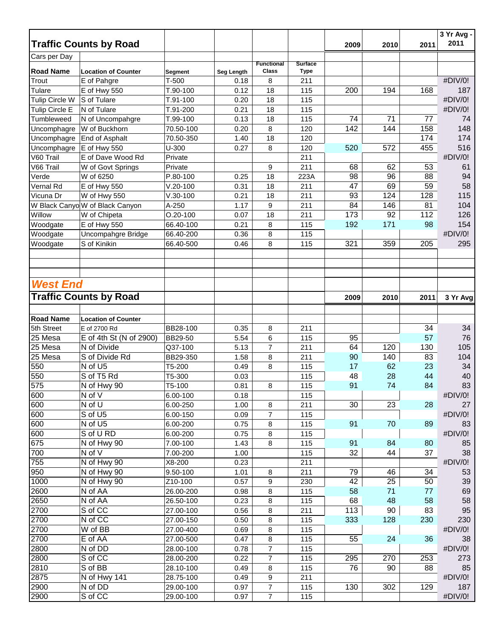|                       |                                 |                      |              |                            |                               |      |                 |      | 3 Yr Avg -    |
|-----------------------|---------------------------------|----------------------|--------------|----------------------------|-------------------------------|------|-----------------|------|---------------|
|                       | <b>Traffic Counts by Road</b>   |                      |              |                            |                               | 2009 | 2010            | 2011 | 2011          |
| Cars per Day          |                                 |                      |              |                            |                               |      |                 |      |               |
| <b>Road Name</b>      | <b>Location of Counter</b>      | <b>Segment</b>       | Seg Length   | <b>Functional</b><br>Class | <b>Surface</b><br><b>Type</b> |      |                 |      |               |
| Trout                 | E of Pahgre                     | $T-500$              | 0.18         | 8                          | 211                           |      |                 |      | #DIV/0!       |
| Tulare                | E of Hwy 550                    | T.90-100             | 0.12         | 18                         | 115                           | 200  | 194             | 168  | 187           |
| <b>Tulip Circle W</b> | S of Tulare                     | T.91-100             | 0.20         | 18                         | 115                           |      |                 |      | #DIV/0!       |
| Tulip Circle E        | N of Tulare                     | T.91-200             | 0.21         | 18                         | 115                           |      |                 |      | #DIV/0!       |
| Tumbleweed            | N of Uncompahgre                | T.99-100             | 0.13         | 18                         | 115                           | 74   | 71              | 77   | 74            |
| Uncomphagre           | W of Buckhorn                   | 70.50-100            | 0.20         | 8                          | 120                           | 142  | 144             | 158  | 148           |
| Uncomphagre           | End of Asphalt                  | 70.50-350            | 1.40         | 18                         | 120                           |      |                 | 174  | 174           |
| Uncomphagre           | E of Hwy 550                    | $U-300$              | 0.27         | 8                          | 120                           | 520  | 572             | 455  | 516           |
| V60 Trail             | E of Dave Wood Rd               | Private              |              |                            | 211                           |      |                 |      | #DIV/0!       |
| V66 Trail             | W of Govt Springs               | Private              |              | 9                          | 211                           | 68   | 62              | 53   | 61            |
| Verde                 | W of 6250                       | P.80-100             | 0.25         | 18                         | 223A                          | 98   | 96              | 88   | 94            |
| Vernal Rd             | E of Hwy 550                    | $V.20 - 100$         | 0.31         | 18                         | 211                           | 47   | 69              | 59   | 58            |
| Vicuna Dr             | W of Hwy 550                    | $V.30 - 100$         | 0.21         | 18                         | 211                           | 93   | 124             | 128  | 115           |
|                       | W Black Canyo W of Black Canyon | A-250                | 1.17         | 9                          | 211                           | 84   | 146             | 81   | 104           |
| Willow                | W of Chipeta                    | $O.20 - 100$         | 0.07         | 18                         | 211                           | 173  | $\overline{92}$ | 112  | 126           |
| Woodgate              | E of Hwy 550                    | 66.40-100            | 0.21         | 8                          | 115                           | 192  | 171             | 98   | 154           |
| Woodgate              | Uncompahgre Bridge              | 66.40-200            | 0.36         | 8                          | 115                           |      |                 |      | #DIV/0!       |
| Woodgate              | S of Kinikin                    | 66.40-500            | 0.46         | 8                          | 115                           | 321  | 359             | 205  | 295           |
|                       |                                 |                      |              |                            |                               |      |                 |      |               |
|                       |                                 |                      |              |                            |                               |      |                 |      |               |
|                       |                                 |                      |              |                            |                               |      |                 |      |               |
| <b>West End</b>       |                                 |                      |              |                            |                               |      |                 |      |               |
|                       | <b>Traffic Counts by Road</b>   |                      |              |                            |                               |      |                 |      |               |
|                       |                                 |                      |              |                            |                               | 2009 | 2010            | 2011 | 3 Yr Avg      |
|                       |                                 |                      |              |                            |                               |      |                 |      |               |
| <b>Road Name</b>      | <b>Location of Counter</b>      |                      |              |                            |                               |      |                 |      |               |
| 5th Street            | E of 2700 Rd                    | BB28-100             | 0.35         | 8                          | 211                           |      |                 | 34   | 34            |
| 25 Mesa               | E of 4th St (N of 2900)         | <b>BB29-50</b>       | 5.54         | 6                          | 115                           | 95   |                 | 57   | 76            |
| 25 Mesa               | N of Divide                     | Q37-100              | 5.13         | $\overline{7}$             | 211                           | 64   | 120             | 130  | 105           |
| 25 Mesa               | S of Divide Rd                  | BB29-350             | 1.58         | 8                          | 211                           | 90   | 140             | 83   | 104           |
| 550                   | N of U5                         | T5-200               | 0.49         | 8                          | 115                           | 17   | 62              | 23   | 34            |
| 550                   | S of T5 Rd                      | T5-300               | 0.03         |                            | 115                           | 48   | 28              | 44   | 40            |
| 575                   | N of Hwy 90                     | T5-100<br>6.00-100   | 0.81         | 8                          | 115                           | 91   | 74              | 84   | 83            |
| 600                   | N of V                          |                      | 0.18         |                            | 115                           |      |                 |      | #DIV/0!       |
| 600                   | N of U                          | 6.00-250             | 1.00         | 8                          | 211                           | 30   | 23              | 28   | 27            |
| 600<br>600            | S of U5<br>N of U5              | 6.00-150             | 0.09         | $\overline{7}$             | 115                           | 91   |                 |      | #DIV/0!       |
| 600                   | S of U RD                       | 6.00-200<br>6.00-200 | 0.75<br>0.75 | 8                          | 115<br>115                    |      | 70              | 89   | 83<br>#DIV/0! |
| 675                   | N of Hwy 90                     | 7.00-100             | 1.43         | 8<br>8                     | 115                           | 91   | 84              | 80   | 85            |
| 700                   | N of V                          | 7.00-200             | 1.00         |                            | 115                           | 32   | 44              | 37   | 38            |
| 755                   | N of Hwy 90                     | X8-200               | 0.23         |                            | 211                           |      |                 |      | #DIV/0!       |
| 950                   | N of Hwy 90                     | 9.50-100             | 1.01         | 8                          | 211                           | 79   | 46              | 34   | 53            |
| 1000                  | N of Hwy 90                     | Z10-100              | 0.57         | 9                          | 230                           | 42   | 25              | 50   | 39            |
| 2600                  | N of AA                         | 26.00-200            | 0.98         | 8                          | 115                           | 58   | 71              | 77   | 69            |
| 2650                  | N of AA                         | 26.50-100            | 0.23         | 8                          | 115                           | 68   | 48              | 58   | 58            |
| 2700                  | S of CC                         | 27.00-100            | 0.56         | 8                          | 211                           | 113  | 90              | 83   | 95            |
| 2700                  | N of CC                         | 27.00-150            | 0.50         | 8                          | 115                           | 333  | 128             | 230  | 230           |
| 2700                  | W of BB                         | 27.00-400            | 0.69         | 8                          | 115                           |      |                 |      | #DIV/0!       |
| 2700                  | E of AA                         | 27.00-500            | 0.47         | 8                          | 115                           | 55   | 24              | 36   | 38            |
| 2800                  | N of DD                         | 28.00-100            | 0.78         | 7                          | 115                           |      |                 |      | #DIV/0!       |
| 2800                  | S of CC                         | 28.00-200            | 0.22         | $\boldsymbol{7}$           | 115                           | 295  | 270             | 253  | 273           |
| 2810                  | S of BB                         | 28.10-100            | 0.49         | 8                          | 115                           | 76   | 90              | 88   | 85            |
| 2875                  | N of Hwy 141                    | 28.75-100            | 0.49         | 9                          | 211                           |      |                 |      | #DIV/0!       |
| 2900                  | N of DD                         | 29.00-100            | 0.97         | $\boldsymbol{7}$           | 115                           | 130  | 302             | 129  | 187           |
| 2900                  | S of CC                         | 29.00-100            | 0.97         | $\overline{7}$             | 115                           |      |                 |      | #DIV/0!       |
|                       |                                 |                      |              |                            |                               |      |                 |      |               |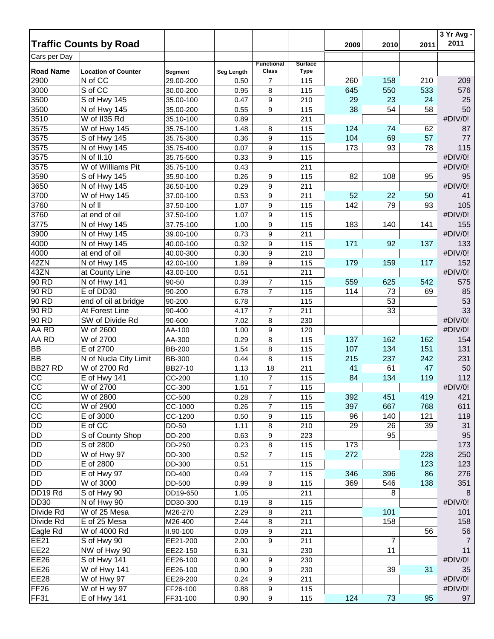|                               |                            |               |                   |                                  |                |      |      |      | 3 Yr Avg - |
|-------------------------------|----------------------------|---------------|-------------------|----------------------------------|----------------|------|------|------|------------|
| <b>Traffic Counts by Road</b> |                            |               |                   |                                  |                | 2009 | 2010 | 2011 | 2011       |
| Cars per Day                  |                            |               |                   | <b>Functional</b>                | <b>Surface</b> |      |      |      |            |
| <b>Road Name</b>              | <b>Location of Counter</b> | Segment       | <b>Seg Length</b> | Class                            | <b>Type</b>    |      |      |      |            |
| 2900                          | N of CC                    | 29.00-200     | 0.50              | $\overline{7}$                   | 115            | 260  | 158  | 210  | 209        |
| 3000                          | S of CC                    | 30.00-200     | 0.95              | 8                                | 115            | 645  | 550  | 533  | 576        |
| 3500                          | S of Hwy 145               | 35.00-100     | 0.47              | 9                                | 210            | 29   | 23   | 24   | 25         |
| 3500                          | N of Hwy 145               | 35.00-200     | 0.55              | 9                                | 115            | 38   | 54   | 58   | 50         |
| 3510                          | W of II35 Rd               | 35.10-100     | 0.89              |                                  | 211            |      |      |      | #DIV/0!    |
| 3575                          | W of Hwy 145               | 35.75-100     | 1.48              | 8                                | 115            | 124  | 74   | 62   | 87         |
| 3575                          | S of Hwy 145               | 35.75-300     | 0.36              | 9                                | 115            | 104  | 69   | 57   | 77         |
| 3575                          | N of Hwy 145               | 35.75-400     | 0.07              | 9                                | 115            | 173  | 93   | 78   | 115        |
| 3575                          | N of II.10                 | 35.75-500     | 0.33              | 9                                | 115            |      |      |      | #DIV/0!    |
| 3575                          | W of Williams Pit          | 35.75-100     | 0.43              |                                  | 211            |      |      |      | #DIV/0!    |
| 3590                          | S of Hwy 145               | 35.90-100     | 0.26              | 9                                | 115            | 82   | 108  | 95   | 95         |
| 3650                          | N of Hwy 145               | 36.50-100     | 0.29              | 9                                | 211            |      |      |      | #DIV/0!    |
| 3700                          | W of Hwy 145               | 37.00-100     | 0.53              | 9                                | 211            | 52   | 22   | 50   | 41         |
| 3760                          | N of II                    | 37.50-100     | 1.07              | 9                                | 115            | 142  | 79   | 93   | 105        |
| 3760                          | at end of oil              | 37.50-100     | 1.07              | 9                                | 115            |      |      |      | #DIV/0!    |
| 3775                          | N of Hwy 145               | 37.75-100     | 1.00              | 9                                | 115            | 183  | 140  | 141  | 155        |
| 3900                          | N of Hwy 145               | 39.00-100     | 0.73              | 9                                | 211            |      |      |      | #DIV/0!    |
| 4000                          | N of Hwy 145               | 40.00-100     | 0.32              | 9                                | 115            | 171  | 92   | 137  | 133        |
| 4000                          | at end of oil              | 40.00-300     | 0.30              | 9                                | 210            |      |      |      | #DIV/0!    |
| 42ZN                          | N of Hwy 145               | 42.00-100     | 1.89              | 9                                | 115            | 179  | 159  | 117  | 152        |
| 43ZN                          | at County Line             | 43.00-100     | 0.51              |                                  | 211            |      |      |      | #DIV/0!    |
| 90 RD                         | N of Hwy 141               | 90-50         | 0.39              | $\overline{7}$                   | 115            | 559  | 625  | 542  | 575        |
| 90 RD                         | E of DD30                  | 90-200        | 6.78              | $\overline{7}$                   | 115            | 114  | 73   | 69   | 85         |
| 90 RD                         | end of oil at bridge       | 90-200        | 6.78              |                                  | 115            |      | 53   |      | 53         |
| 90 RD                         | At Forest Line             | 90-400        | 4.17              | 7                                | 211            |      | 33   |      | 33         |
| 90 RD                         | SW of Divide Rd            | 90-600        | 7.02              | 8                                | 230            |      |      |      | #DIV/0!    |
| AA RD                         | W of 2600                  | AA-100        | 1.00              | 9                                | 120            |      |      |      | #DIV/0!    |
| AA RD                         | W of 2700                  | AA-300        | 0.29              | 8                                | 115            | 137  | 162  | 162  | 154        |
| <b>BB</b>                     | E of 2700                  | <b>BB-200</b> | 1.54              | 8                                | 115            | 107  | 134  | 151  | 131        |
| <b>BB</b>                     | N of Nucla City Limit      | <b>BB-300</b> | 0.44              | 8                                | 115            | 215  | 237  | 242  | 231        |
| BB27 RD                       | W of 2700 Rd               | BB27-10       | 1.13              | 18                               | 211            | 41   | 61   | 47   | 50         |
|                               |                            |               |                   |                                  |                | 84   |      | 119  | 112        |
| CC<br>$\overline{cc}$         | E of Hwy 141<br>W of 2700  | CC-200        | 1.10              | $\overline{7}$<br>$\overline{7}$ | 115<br>115     |      | 134  |      | #DIV/0!    |
|                               |                            | CC-300        | 1.51              |                                  |                |      |      |      |            |
| CC                            | W of 2800                  | CC-500        | 0.28              | $\overline{7}$                   | 115            | 392  | 451  | 419  | 421        |
| $\overline{cc}$               | W of 2900                  | CC-1000       | 0.26              | $\overline{7}$                   | 115            | 397  | 667  | 768  | 611        |
| cc                            | E of 3000                  | CC-1200       | 0.50              | 9                                | 115            | 96   | 140  | 121  | 119        |
| <b>DD</b>                     | E of CC                    | DD-50         | 1.11              | 8                                | 210            | 29   | 26   | 39   | 31         |
| <b>DD</b>                     | S of County Shop           | DD-200        | 0.63              | 9                                | 223            |      | 95   |      | 95         |
| <b>DD</b>                     | S of 2800                  | DD-250        | 0.23              | $\,8\,$                          | 115            | 173  |      |      | 173        |
| $\overline{DD}$               | W of Hwy 97                | DD-300        | 0.52              | $\overline{7}$                   | 115            | 272  |      | 228  | 250        |
| <b>DD</b>                     | E of 2800                  | DD-300        | 0.51              |                                  | 115            |      |      | 123  | 123        |
| <b>DD</b>                     | E of Hwy 97                | DD-400        | 0.49              | $\overline{7}$                   | 115            | 346  | 396  | 86   | 276        |
| <b>DD</b>                     | W of 3000                  | DD-500        | 0.99              | 8                                | 115            | 369  | 546  | 138  | 351        |
| DD19 Rd                       | S of Hwy 90                | DD19-650      | 1.05              |                                  | 211            |      | 8    |      | 8          |
| <b>DD30</b>                   | N of Hwy 90                | DD30-300      | 0.19              | 8                                | 115            |      |      |      | #DIV/0!    |
| Divide Rd                     | W of 25 Mesa               | M26-270       | 2.29              | 8                                | 211            |      | 101  |      | 101        |
| Divide Rd                     | E of 25 Mesa               | M26-400       | 2.44              | 8                                | 211            |      | 158  |      | 158        |
| Eagle Rd                      | W of 4000 Rd               | II.90-100     | 0.09              | 9                                | 211            |      |      | 56   | 56         |
| <b>EE21</b>                   | S of Hwy 90                | EE21-200      | 2.00              | 9                                | 211            |      | 7    |      | 7          |
| <b>EE22</b>                   | NW of Hwy 90               | EE22-150      | 6.31              |                                  | 230            |      | 11   |      | 11         |
| <b>EE26</b>                   | S of Hwy 141               | EE26-100      | 0.90              | 9                                | 230            |      |      |      | #DIV/0!    |
| <b>EE26</b>                   | W of Hwy 141               | EE26-100      | 0.90              | 9                                | 230            |      | 39   | 31   | 35         |
| <b>EE28</b>                   | W of Hwy 97                | EE28-200      | 0.24              | 9                                | 211            |      |      |      | #DIV/0!    |
| FF <sub>26</sub>              | W of H wy 97               | FF26-100      | 0.88              | 9                                | 115            |      |      |      | #DIV/0!    |
| <b>FF31</b>                   | E of Hwy 141               | FF31-100      | 0.90              | 9                                | 115            | 124  | 73   | 95   | 97         |